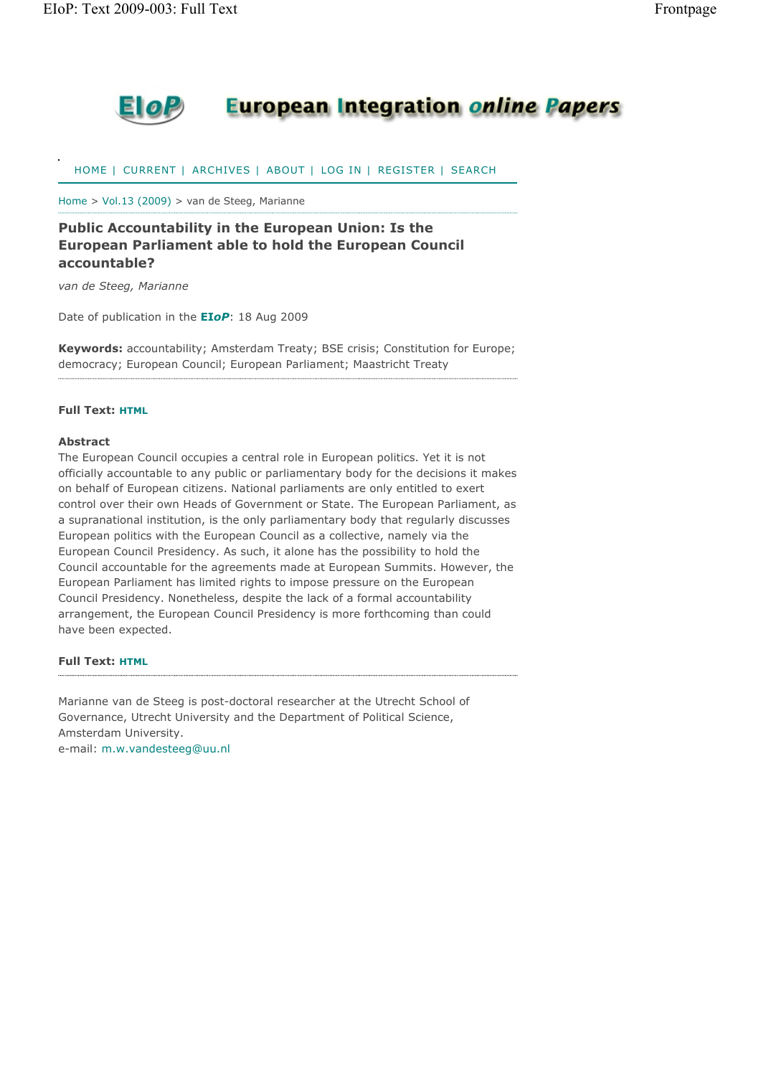

## **European Integration online Papers**

HOME | CURRENT | ARCHIVES | ABOUT | LOG IN | REGISTER | SEARCH

Home > Vol.13 (2009) > van de Steeg, Marianne

### **Public Accountability in the European Union: Is the European Parliament able to hold the European Council accountable?**

*van de Steeg, Marianne*

Date of publication in the **EI***oP*: 18 Aug 2009

**Keywords:** accountability; Amsterdam Treaty; BSE crisis; Constitution for Europe; democracy; European Council; European Parliament; Maastricht Treaty

#### **Full Text: HTML**

#### **Abstract**

The European Council occupies a central role in European politics. Yet it is not officially accountable to any public or parliamentary body for the decisions it makes on behalf of European citizens. National parliaments are only entitled to exert control over their own Heads of Government or State. The European Parliament, as a supranational institution, is the only parliamentary body that regularly discusses European politics with the European Council as a collective, namely via the European Council Presidency. As such, it alone has the possibility to hold the Council accountable for the agreements made at European Summits. However, the European Parliament has limited rights to impose pressure on the European Council Presidency. Nonetheless, despite the lack of a formal accountability arrangement, the European Council Presidency is more forthcoming than could have been expected.

#### **Full Text: HTML**

Marianne van de Steeg is post-doctoral researcher at the Utrecht School of Governance, Utrecht University and the Department of Political Science, Amsterdam University.

e-mail: m.w.vandesteeg@uu.nl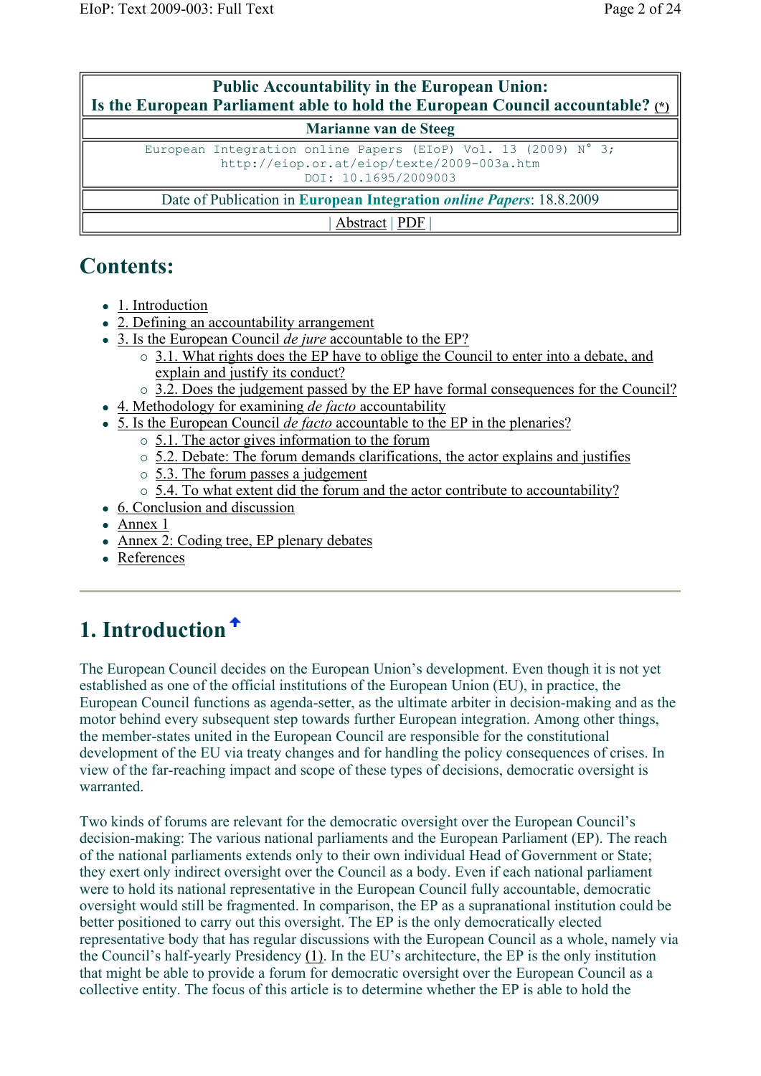| <b>Public Accountability in the European Union:</b><br>Is the European Parliament able to hold the European Council accountable? (*) |  |  |  |  |  |  |  |
|--------------------------------------------------------------------------------------------------------------------------------------|--|--|--|--|--|--|--|
| Marianne van de Steeg                                                                                                                |  |  |  |  |  |  |  |
| European Integration online Papers (EIoP) Vol. 13 (2009) N° 3;<br>http://eiop.or.at/eiop/texte/2009-003a.htm<br>DOI: 10.1695/2009003 |  |  |  |  |  |  |  |
| Date of Publication in European Integration <i>online Papers</i> : 18.8.2009                                                         |  |  |  |  |  |  |  |
| Abstract   PDF                                                                                                                       |  |  |  |  |  |  |  |

## **Contents:**

- 1. Introduction
- 2. Defining an accountability arrangement
- 3. Is the European Council *de jure* accountable to the EP?
	- 3.1. What rights does the EP have to oblige the Council to enter into a debate, and explain and justify its conduct?
	- $\circ$  3.2. Does the judgement passed by the EP have formal consequences for the Council?
- 4. Methodology for examining *de facto* accountability
- 5. Is the European Council *de facto* accountable to the EP in the plenaries?
	- 5.1. The actor gives information to the forum
	- $\circ$  5.2. Debate: The forum demands clarifications, the actor explains and justifies
	- $\circ$  5.3. The forum passes a judgement
	- 5.4. To what extent did the forum and the actor contribute to accountability?
- 6. Conclusion and discussion
- Annex 1
- Annex 2: Coding tree, EP plenary debates
- References

# **1. Introduction**

The European Council decides on the European Union's development. Even though it is not yet established as one of the official institutions of the European Union (EU), in practice, the European Council functions as agenda-setter, as the ultimate arbiter in decision-making and as the motor behind every subsequent step towards further European integration. Among other things, the member-states united in the European Council are responsible for the constitutional development of the EU via treaty changes and for handling the policy consequences of crises. In view of the far-reaching impact and scope of these types of decisions, democratic oversight is warranted.

Two kinds of forums are relevant for the democratic oversight over the European Council's decision-making: The various national parliaments and the European Parliament (EP). The reach of the national parliaments extends only to their own individual Head of Government or State; they exert only indirect oversight over the Council as a body. Even if each national parliament were to hold its national representative in the European Council fully accountable, democratic oversight would still be fragmented. In comparison, the EP as a supranational institution could be better positioned to carry out this oversight. The EP is the only democratically elected representative body that has regular discussions with the European Council as a whole, namely via the Council's half-yearly Presidency (1). In the EU's architecture, the EP is the only institution that might be able to provide a forum for democratic oversight over the European Council as a collective entity. The focus of this article is to determine whether the EP is able to hold the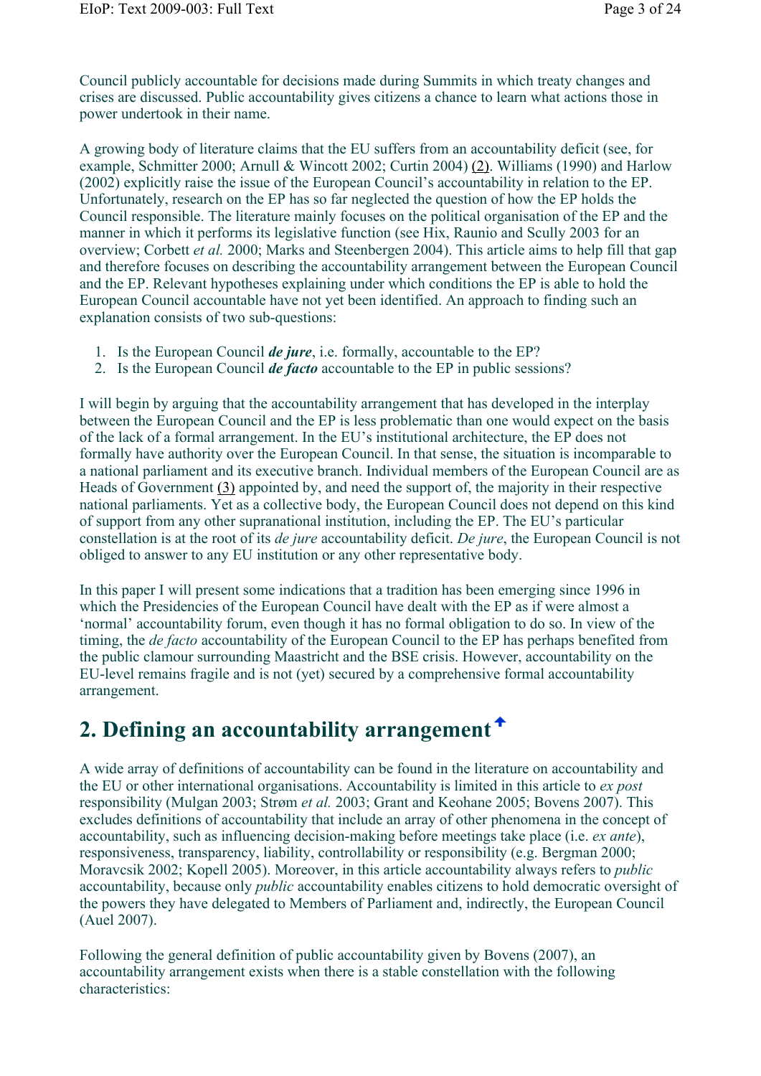Council publicly accountable for decisions made during Summits in which treaty changes and crises are discussed. Public accountability gives citizens a chance to learn what actions those in power undertook in their name.

A growing body of literature claims that the EU suffers from an accountability deficit (see, for example, Schmitter 2000; Arnull & Wincott 2002; Curtin 2004) (2). Williams (1990) and Harlow (2002) explicitly raise the issue of the European Council's accountability in relation to the EP. Unfortunately, research on the EP has so far neglected the question of how the EP holds the Council responsible. The literature mainly focuses on the political organisation of the EP and the manner in which it performs its legislative function (see Hix, Raunio and Scully 2003 for an overview; Corbett *et al.* 2000; Marks and Steenbergen 2004). This article aims to help fill that gap and therefore focuses on describing the accountability arrangement between the European Council and the EP. Relevant hypotheses explaining under which conditions the EP is able to hold the European Council accountable have not yet been identified. An approach to finding such an explanation consists of two sub-questions:

- 1. Is the European Council *de jure*, i.e. formally, accountable to the EP?
- 2. Is the European Council *de facto* accountable to the EP in public sessions?

I will begin by arguing that the accountability arrangement that has developed in the interplay between the European Council and the EP is less problematic than one would expect on the basis of the lack of a formal arrangement. In the EU's institutional architecture, the EP does not formally have authority over the European Council. In that sense, the situation is incomparable to a national parliament and its executive branch. Individual members of the European Council are as Heads of Government (3) appointed by, and need the support of, the majority in their respective national parliaments. Yet as a collective body, the European Council does not depend on this kind of support from any other supranational institution, including the EP. The EU's particular constellation is at the root of its *de jure* accountability deficit. *De jure*, the European Council is not obliged to answer to any EU institution or any other representative body.

In this paper I will present some indications that a tradition has been emerging since 1996 in which the Presidencies of the European Council have dealt with the EP as if were almost a 'normal' accountability forum, even though it has no formal obligation to do so. In view of the timing, the *de facto* accountability of the European Council to the EP has perhaps benefited from the public clamour surrounding Maastricht and the BSE crisis. However, accountability on the EU-level remains fragile and is not (yet) secured by a comprehensive formal accountability arrangement.

# **2. Defining an accountability arrangement**

A wide array of definitions of accountability can be found in the literature on accountability and the EU or other international organisations. Accountability is limited in this article to *ex post*  responsibility (Mulgan 2003; Strøm *et al.* 2003; Grant and Keohane 2005; Bovens 2007). This excludes definitions of accountability that include an array of other phenomena in the concept of accountability, such as influencing decision-making before meetings take place (i.e. *ex ante*), responsiveness, transparency, liability, controllability or responsibility (e.g. Bergman 2000; Moravcsik 2002; Kopell 2005). Moreover, in this article accountability always refers to *public* accountability, because only *public* accountability enables citizens to hold democratic oversight of the powers they have delegated to Members of Parliament and, indirectly, the European Council (Auel 2007).

Following the general definition of public accountability given by Bovens (2007), an accountability arrangement exists when there is a stable constellation with the following characteristics: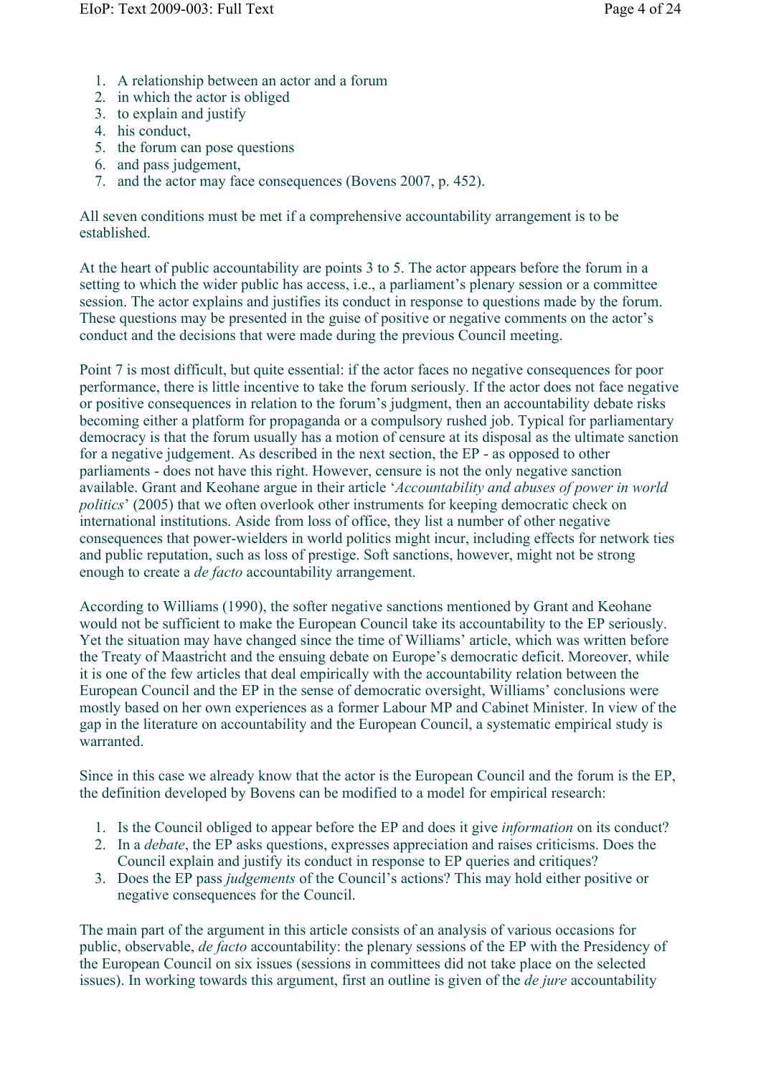- 1. A relationship between an actor and a forum
- 2. in which the actor is obliged
- 3. to explain and justify
- 4. his conduct,
- 5. the forum can pose questions
- 6. and pass judgement,
- 7. and the actor may face consequences (Bovens 2007, p. 452).

All seven conditions must be met if a comprehensive accountability arrangement is to be established.

At the heart of public accountability are points 3 to 5. The actor appears before the forum in a setting to which the wider public has access, i.e., a parliament's plenary session or a committee session. The actor explains and justifies its conduct in response to questions made by the forum. These questions may be presented in the guise of positive or negative comments on the actor's conduct and the decisions that were made during the previous Council meeting.

Point 7 is most difficult, but quite essential: if the actor faces no negative consequences for poor performance, there is little incentive to take the forum seriously. If the actor does not face negative or positive consequences in relation to the forum's judgment, then an accountability debate risks becoming either a platform for propaganda or a compulsory rushed job. Typical for parliamentary democracy is that the forum usually has a motion of censure at its disposal as the ultimate sanction for a negative judgement. As described in the next section, the EP - as opposed to other parliaments - does not have this right. However, censure is not the only negative sanction available. Grant and Keohane argue in their article '*Accountability and abuses of power in world politics*' (2005) that we often overlook other instruments for keeping democratic check on international institutions. Aside from loss of office, they list a number of other negative consequences that power-wielders in world politics might incur, including effects for network ties and public reputation, such as loss of prestige. Soft sanctions, however, might not be strong enough to create a *de facto* accountability arrangement.

According to Williams (1990), the softer negative sanctions mentioned by Grant and Keohane would not be sufficient to make the European Council take its accountability to the EP seriously. Yet the situation may have changed since the time of Williams' article, which was written before the Treaty of Maastricht and the ensuing debate on Europe's democratic deficit. Moreover, while it is one of the few articles that deal empirically with the accountability relation between the European Council and the EP in the sense of democratic oversight, Williams' conclusions were mostly based on her own experiences as a former Labour MP and Cabinet Minister. In view of the gap in the literature on accountability and the European Council, a systematic empirical study is warranted.

Since in this case we already know that the actor is the European Council and the forum is the EP, the definition developed by Bovens can be modified to a model for empirical research:

- 1. Is the Council obliged to appear before the EP and does it give *information* on its conduct?
- 2. In a *debate*, the EP asks questions, expresses appreciation and raises criticisms. Does the Council explain and justify its conduct in response to EP queries and critiques?
- 3. Does the EP pass *judgements* of the Council's actions? This may hold either positive or negative consequences for the Council.

The main part of the argument in this article consists of an analysis of various occasions for public, observable, *de facto* accountability: the plenary sessions of the EP with the Presidency of the European Council on six issues (sessions in committees did not take place on the selected issues). In working towards this argument, first an outline is given of the *de jure* accountability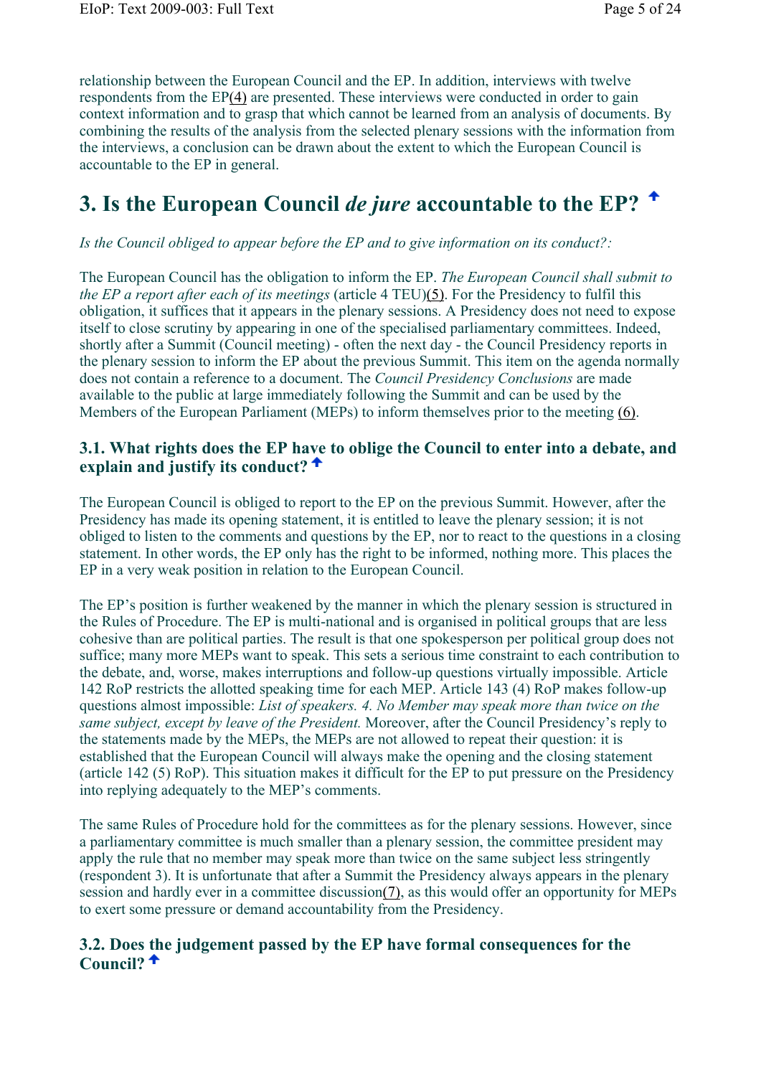relationship between the European Council and the EP. In addition, interviews with twelve respondents from the EP(4) are presented. These interviews were conducted in order to gain context information and to grasp that which cannot be learned from an analysis of documents. By combining the results of the analysis from the selected plenary sessions with the information from the interviews, a conclusion can be drawn about the extent to which the European Council is accountable to the EP in general.

## **3. Is the European Council** *de jure* **accountable to the EP?**

### *Is the Council obliged to appear before the EP and to give information on its conduct?:*

The European Council has the obligation to inform the EP. *The European Council shall submit to the EP a report after each of its meetings* (article 4 TEU)(5). For the Presidency to fulfil this obligation, it suffices that it appears in the plenary sessions. A Presidency does not need to expose itself to close scrutiny by appearing in one of the specialised parliamentary committees. Indeed, shortly after a Summit (Council meeting) - often the next day - the Council Presidency reports in the plenary session to inform the EP about the previous Summit. This item on the agenda normally does not contain a reference to a document. The *Council Presidency Conclusions* are made available to the public at large immediately following the Summit and can be used by the Members of the European Parliament (MEPs) to inform themselves prior to the meeting (6).

### **3.1. What rights does the EP have to oblige the Council to enter into a debate, and explain and justify its conduct?**

The European Council is obliged to report to the EP on the previous Summit. However, after the Presidency has made its opening statement, it is entitled to leave the plenary session; it is not obliged to listen to the comments and questions by the EP, nor to react to the questions in a closing statement. In other words, the EP only has the right to be informed, nothing more. This places the EP in a very weak position in relation to the European Council.

The EP's position is further weakened by the manner in which the plenary session is structured in the Rules of Procedure. The EP is multi-national and is organised in political groups that are less cohesive than are political parties. The result is that one spokesperson per political group does not suffice; many more MEPs want to speak. This sets a serious time constraint to each contribution to the debate, and, worse, makes interruptions and follow-up questions virtually impossible. Article 142 RoP restricts the allotted speaking time for each MEP. Article 143 (4) RoP makes follow-up questions almost impossible: *List of speakers. 4. No Member may speak more than twice on the same subject, except by leave of the President.* Moreover, after the Council Presidency's reply to the statements made by the MEPs, the MEPs are not allowed to repeat their question: it is established that the European Council will always make the opening and the closing statement (article 142 (5) RoP). This situation makes it difficult for the EP to put pressure on the Presidency into replying adequately to the MEP's comments.

The same Rules of Procedure hold for the committees as for the plenary sessions. However, since a parliamentary committee is much smaller than a plenary session, the committee president may apply the rule that no member may speak more than twice on the same subject less stringently (respondent 3). It is unfortunate that after a Summit the Presidency always appears in the plenary session and hardly ever in a committee discussion(7), as this would offer an opportunity for MEPs to exert some pressure or demand accountability from the Presidency.

### **3.2. Does the judgement passed by the EP have formal consequences for the Council?**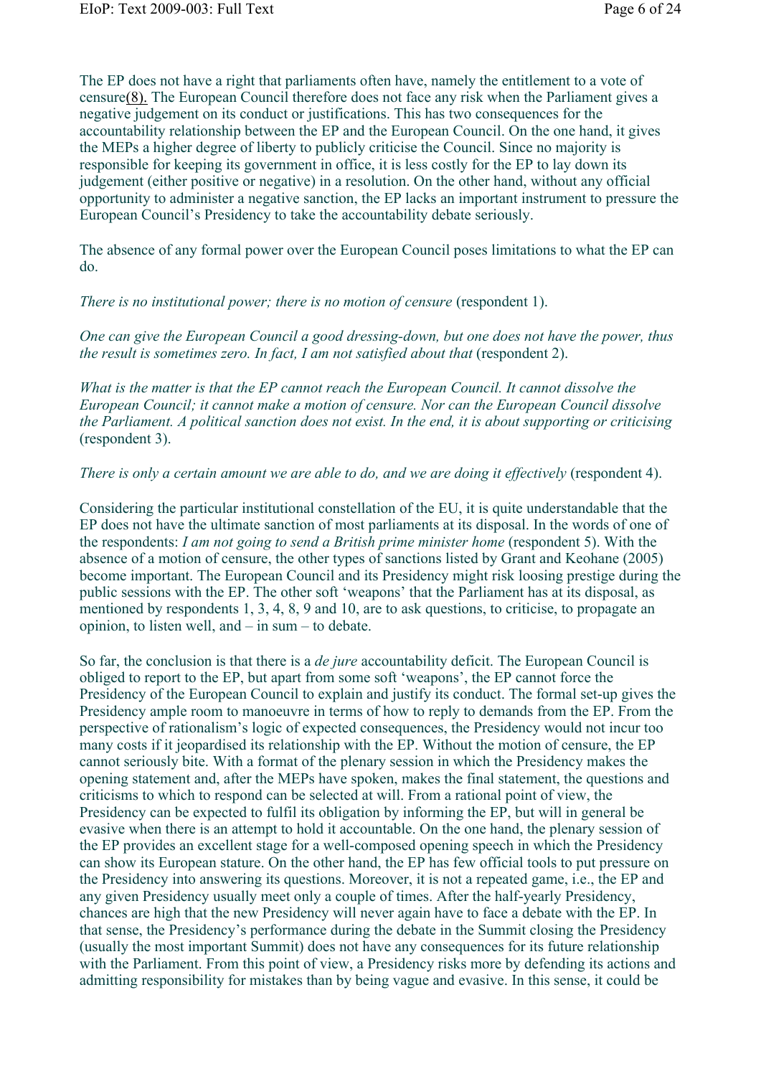The EP does not have a right that parliaments often have, namely the entitlement to a vote of censure(8). The European Council therefore does not face any risk when the Parliament gives a negative judgement on its conduct or justifications. This has two consequences for the accountability relationship between the EP and the European Council. On the one hand, it gives the MEPs a higher degree of liberty to publicly criticise the Council. Since no majority is responsible for keeping its government in office, it is less costly for the EP to lay down its judgement (either positive or negative) in a resolution. On the other hand, without any official opportunity to administer a negative sanction, the EP lacks an important instrument to pressure the European Council's Presidency to take the accountability debate seriously.

The absence of any formal power over the European Council poses limitations to what the EP can do.

*There is no institutional power; there is no motion of censure* (respondent 1).

*One can give the European Council a good dressing-down, but one does not have the power, thus the result is sometimes zero. In fact, I am not satisfied about that* (respondent 2).

*What is the matter is that the EP cannot reach the European Council. It cannot dissolve the European Council; it cannot make a motion of censure. Nor can the European Council dissolve the Parliament. A political sanction does not exist. In the end, it is about supporting or criticising* (respondent 3).

*There is only a certain amount we are able to do, and we are doing it effectively* (respondent 4).

Considering the particular institutional constellation of the EU, it is quite understandable that the EP does not have the ultimate sanction of most parliaments at its disposal. In the words of one of the respondents: *I am not going to send a British prime minister home* (respondent 5). With the absence of a motion of censure, the other types of sanctions listed by Grant and Keohane (2005) become important. The European Council and its Presidency might risk loosing prestige during the public sessions with the EP. The other soft 'weapons' that the Parliament has at its disposal, as mentioned by respondents 1, 3, 4, 8, 9 and 10, are to ask questions, to criticise, to propagate an opinion, to listen well, and – in sum – to debate.

So far, the conclusion is that there is a *de jure* accountability deficit. The European Council is obliged to report to the EP, but apart from some soft 'weapons', the EP cannot force the Presidency of the European Council to explain and justify its conduct. The formal set-up gives the Presidency ample room to manoeuvre in terms of how to reply to demands from the EP. From the perspective of rationalism's logic of expected consequences, the Presidency would not incur too many costs if it jeopardised its relationship with the EP. Without the motion of censure, the EP cannot seriously bite. With a format of the plenary session in which the Presidency makes the opening statement and, after the MEPs have spoken, makes the final statement, the questions and criticisms to which to respond can be selected at will. From a rational point of view, the Presidency can be expected to fulfil its obligation by informing the EP, but will in general be evasive when there is an attempt to hold it accountable. On the one hand, the plenary session of the EP provides an excellent stage for a well-composed opening speech in which the Presidency can show its European stature. On the other hand, the EP has few official tools to put pressure on the Presidency into answering its questions. Moreover, it is not a repeated game, i.e., the EP and any given Presidency usually meet only a couple of times. After the half-yearly Presidency, chances are high that the new Presidency will never again have to face a debate with the EP. In that sense, the Presidency's performance during the debate in the Summit closing the Presidency (usually the most important Summit) does not have any consequences for its future relationship with the Parliament. From this point of view, a Presidency risks more by defending its actions and admitting responsibility for mistakes than by being vague and evasive. In this sense, it could be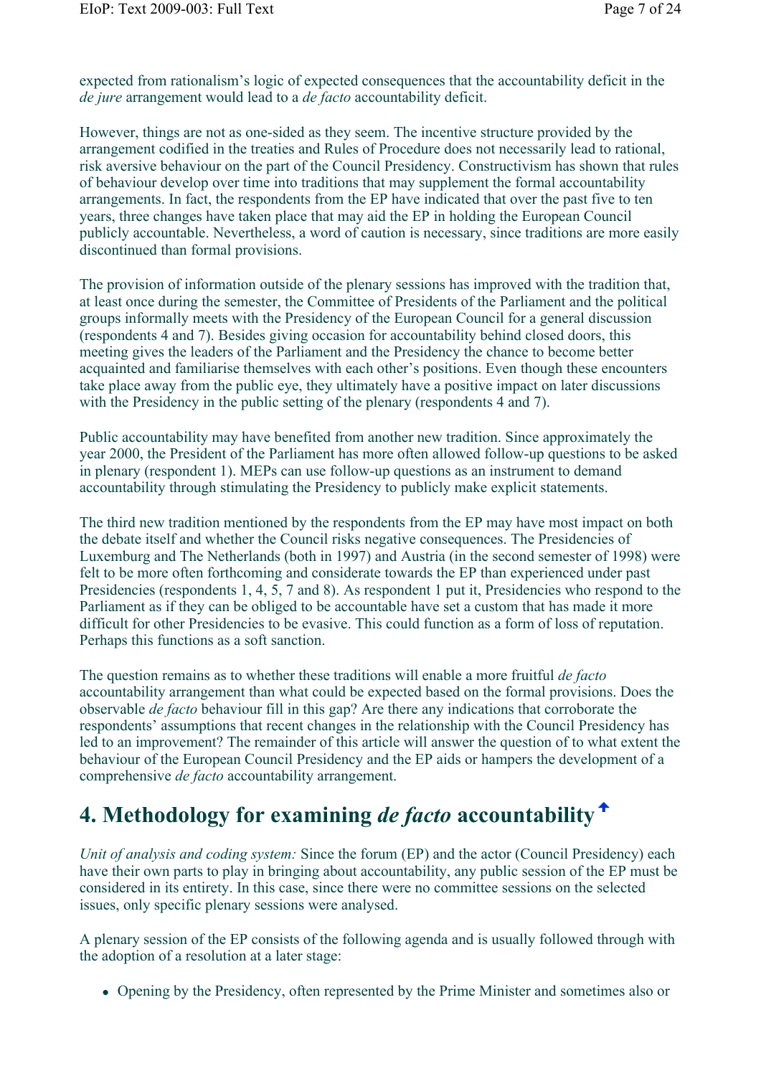expected from rationalism's logic of expected consequences that the accountability deficit in the *de jure* arrangement would lead to a *de facto* accountability deficit.

However, things are not as one-sided as they seem. The incentive structure provided by the arrangement codified in the treaties and Rules of Procedure does not necessarily lead to rational, risk aversive behaviour on the part of the Council Presidency. Constructivism has shown that rules of behaviour develop over time into traditions that may supplement the formal accountability arrangements. In fact, the respondents from the EP have indicated that over the past five to ten years, three changes have taken place that may aid the EP in holding the European Council publicly accountable. Nevertheless, a word of caution is necessary, since traditions are more easily discontinued than formal provisions.

The provision of information outside of the plenary sessions has improved with the tradition that, at least once during the semester, the Committee of Presidents of the Parliament and the political groups informally meets with the Presidency of the European Council for a general discussion (respondents 4 and 7). Besides giving occasion for accountability behind closed doors, this meeting gives the leaders of the Parliament and the Presidency the chance to become better acquainted and familiarise themselves with each other's positions. Even though these encounters take place away from the public eye, they ultimately have a positive impact on later discussions with the Presidency in the public setting of the plenary (respondents 4 and 7).

Public accountability may have benefited from another new tradition. Since approximately the year 2000, the President of the Parliament has more often allowed follow-up questions to be asked in plenary (respondent 1). MEPs can use follow-up questions as an instrument to demand accountability through stimulating the Presidency to publicly make explicit statements.

The third new tradition mentioned by the respondents from the EP may have most impact on both the debate itself and whether the Council risks negative consequences. The Presidencies of Luxemburg and The Netherlands (both in 1997) and Austria (in the second semester of 1998) were felt to be more often forthcoming and considerate towards the EP than experienced under past Presidencies (respondents 1, 4, 5, 7 and 8). As respondent 1 put it, Presidencies who respond to the Parliament as if they can be obliged to be accountable have set a custom that has made it more difficult for other Presidencies to be evasive. This could function as a form of loss of reputation. Perhaps this functions as a soft sanction.

The question remains as to whether these traditions will enable a more fruitful *de facto* accountability arrangement than what could be expected based on the formal provisions. Does the observable *de facto* behaviour fill in this gap? Are there any indications that corroborate the respondents' assumptions that recent changes in the relationship with the Council Presidency has led to an improvement? The remainder of this article will answer the question of to what extent the behaviour of the European Council Presidency and the EP aids or hampers the development of a comprehensive *de facto* accountability arrangement.

# **4. Methodology for examining** *de facto* **accountability**

*Unit of analysis and coding system:* Since the forum (EP) and the actor (Council Presidency) each have their own parts to play in bringing about accountability, any public session of the EP must be considered in its entirety. In this case, since there were no committee sessions on the selected issues, only specific plenary sessions were analysed.

A plenary session of the EP consists of the following agenda and is usually followed through with the adoption of a resolution at a later stage:

Opening by the Presidency, often represented by the Prime Minister and sometimes also or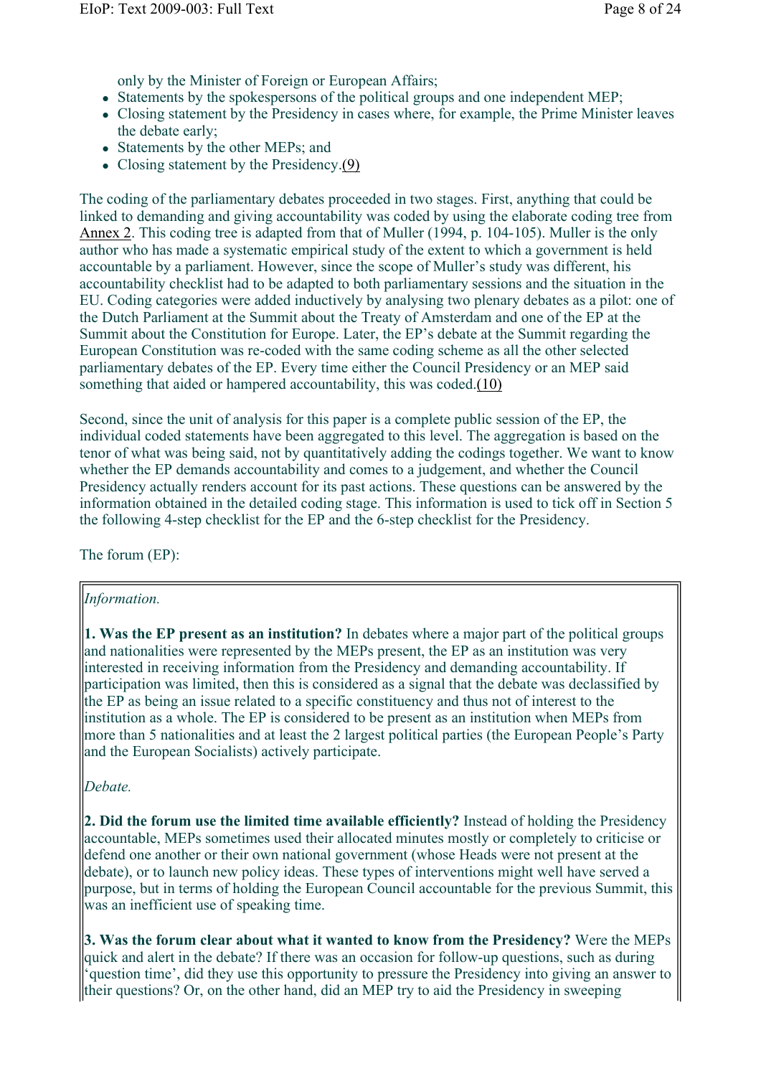only by the Minister of Foreign or European Affairs;

- Statements by the spokespersons of the political groups and one independent MEP;
- Closing statement by the Presidency in cases where, for example, the Prime Minister leaves the debate early;
- Statements by the other MEPs; and
- Closing statement by the Presidency.(9)

The coding of the parliamentary debates proceeded in two stages. First, anything that could be linked to demanding and giving accountability was coded by using the elaborate coding tree from Annex 2. This coding tree is adapted from that of Muller (1994, p. 104-105). Muller is the only author who has made a systematic empirical study of the extent to which a government is held accountable by a parliament. However, since the scope of Muller's study was different, his accountability checklist had to be adapted to both parliamentary sessions and the situation in the EU. Coding categories were added inductively by analysing two plenary debates as a pilot: one of the Dutch Parliament at the Summit about the Treaty of Amsterdam and one of the EP at the Summit about the Constitution for Europe. Later, the EP's debate at the Summit regarding the European Constitution was re-coded with the same coding scheme as all the other selected parliamentary debates of the EP. Every time either the Council Presidency or an MEP said something that aided or hampered accountability, this was coded.(10)

Second, since the unit of analysis for this paper is a complete public session of the EP, the individual coded statements have been aggregated to this level. The aggregation is based on the tenor of what was being said, not by quantitatively adding the codings together. We want to know whether the EP demands accountability and comes to a judgement, and whether the Council Presidency actually renders account for its past actions. These questions can be answered by the information obtained in the detailed coding stage. This information is used to tick off in Section 5 the following 4-step checklist for the EP and the 6-step checklist for the Presidency.

The forum (EP):

### *Information.*

**1. Was the EP present as an institution?** In debates where a major part of the political groups and nationalities were represented by the MEPs present, the EP as an institution was very interested in receiving information from the Presidency and demanding accountability. If participation was limited, then this is considered as a signal that the debate was declassified by the EP as being an issue related to a specific constituency and thus not of interest to the institution as a whole. The EP is considered to be present as an institution when MEPs from more than 5 nationalities and at least the 2 largest political parties (the European People's Party and the European Socialists) actively participate.

### *Debate.*

**2. Did the forum use the limited time available efficiently?** Instead of holding the Presidency accountable, MEPs sometimes used their allocated minutes mostly or completely to criticise or defend one another or their own national government (whose Heads were not present at the debate), or to launch new policy ideas. These types of interventions might well have served a purpose, but in terms of holding the European Council accountable for the previous Summit, this was an inefficient use of speaking time.

**3. Was the forum clear about what it wanted to know from the Presidency?** Were the MEPs quick and alert in the debate? If there was an occasion for follow-up questions, such as during 'question time', did they use this opportunity to pressure the Presidency into giving an answer to their questions? Or, on the other hand, did an MEP try to aid the Presidency in sweeping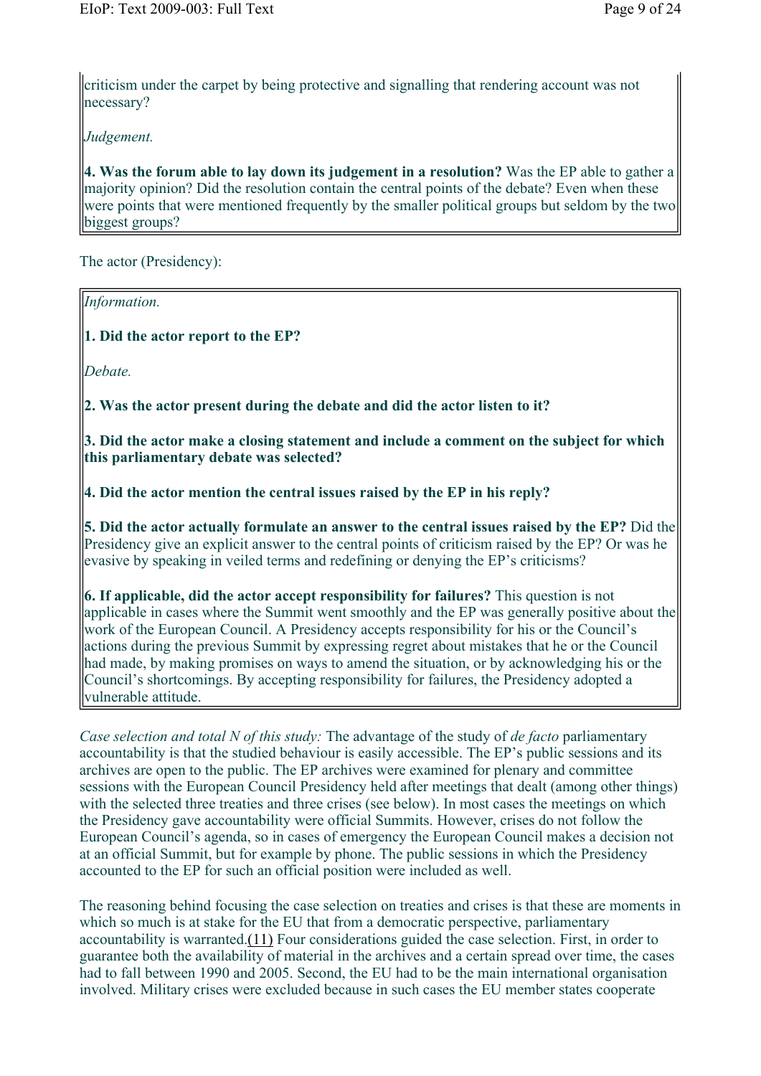criticism under the carpet by being protective and signalling that rendering account was not necessary?

*Judgement.* 

**4. Was the forum able to lay down its judgement in a resolution?** Was the EP able to gather a majority opinion? Did the resolution contain the central points of the debate? Even when these were points that were mentioned frequently by the smaller political groups but seldom by the two biggest groups?

The actor (Presidency):

*Information.*  **1. Did the actor report to the EP?** *Debate.*  **2. Was the actor present during the debate and did the actor listen to it? 3. Did the actor make a closing statement and include a comment on the subject for which this parliamentary debate was selected? 4. Did the actor mention the central issues raised by the EP in his reply? 5. Did the actor actually formulate an answer to the central issues raised by the EP?** Did the Presidency give an explicit answer to the central points of criticism raised by the EP? Or was he evasive by speaking in veiled terms and redefining or denying the EP's criticisms? **6. If applicable, did the actor accept responsibility for failures?** This question is not applicable in cases where the Summit went smoothly and the EP was generally positive about the work of the European Council. A Presidency accepts responsibility for his or the Council's actions during the previous Summit by expressing regret about mistakes that he or the Council had made, by making promises on ways to amend the situation, or by acknowledging his or the Council's shortcomings. By accepting responsibility for failures, the Presidency adopted a vulnerable attitude.

*Case selection and total N of this study:* The advantage of the study of *de facto* parliamentary accountability is that the studied behaviour is easily accessible. The EP's public sessions and its archives are open to the public. The EP archives were examined for plenary and committee sessions with the European Council Presidency held after meetings that dealt (among other things) with the selected three treaties and three crises (see below). In most cases the meetings on which the Presidency gave accountability were official Summits. However, crises do not follow the European Council's agenda, so in cases of emergency the European Council makes a decision not at an official Summit, but for example by phone. The public sessions in which the Presidency accounted to the EP for such an official position were included as well.

The reasoning behind focusing the case selection on treaties and crises is that these are moments in which so much is at stake for the EU that from a democratic perspective, parliamentary accountability is warranted.(11) Four considerations guided the case selection. First, in order to guarantee both the availability of material in the archives and a certain spread over time, the cases had to fall between 1990 and 2005. Second, the EU had to be the main international organisation involved. Military crises were excluded because in such cases the EU member states cooperate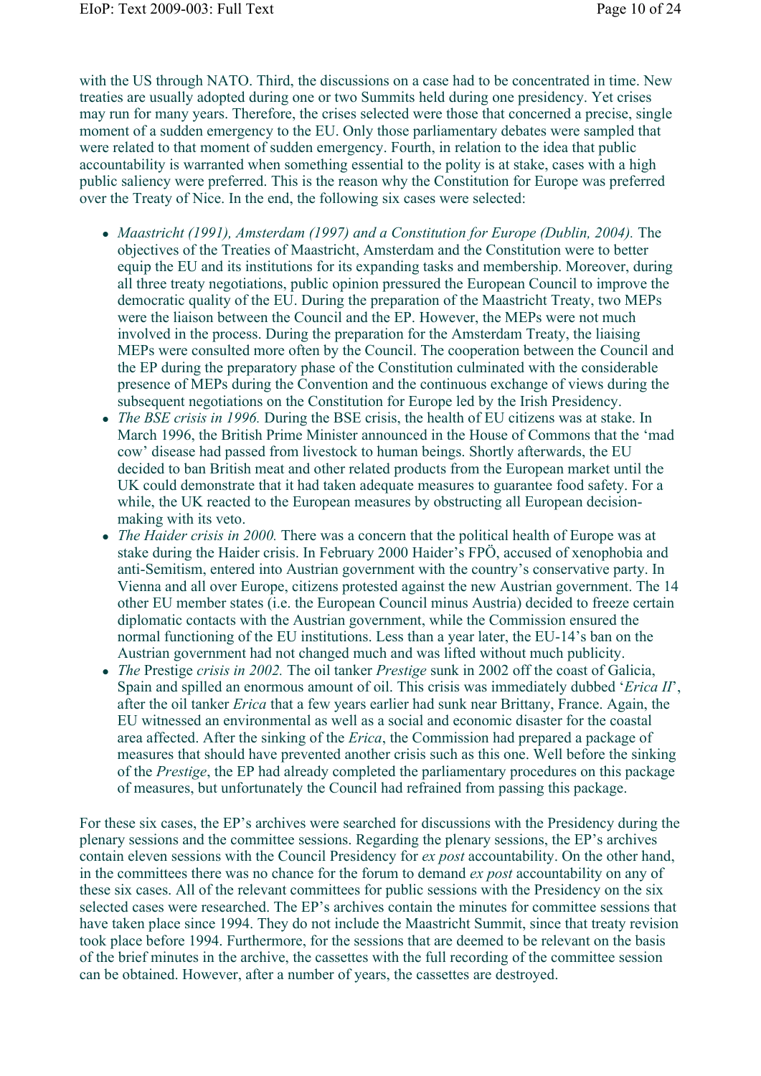with the US through NATO. Third, the discussions on a case had to be concentrated in time. New treaties are usually adopted during one or two Summits held during one presidency. Yet crises may run for many years. Therefore, the crises selected were those that concerned a precise, single moment of a sudden emergency to the EU. Only those parliamentary debates were sampled that were related to that moment of sudden emergency. Fourth, in relation to the idea that public accountability is warranted when something essential to the polity is at stake, cases with a high public saliency were preferred. This is the reason why the Constitution for Europe was preferred over the Treaty of Nice. In the end, the following six cases were selected:

- *Maastricht (1991), Amsterdam (1997) and a Constitution for Europe (Dublin, 2004).* The objectives of the Treaties of Maastricht, Amsterdam and the Constitution were to better equip the EU and its institutions for its expanding tasks and membership. Moreover, during all three treaty negotiations, public opinion pressured the European Council to improve the democratic quality of the EU. During the preparation of the Maastricht Treaty, two MEPs were the liaison between the Council and the EP. However, the MEPs were not much involved in the process. During the preparation for the Amsterdam Treaty, the liaising MEPs were consulted more often by the Council. The cooperation between the Council and the EP during the preparatory phase of the Constitution culminated with the considerable presence of MEPs during the Convention and the continuous exchange of views during the subsequent negotiations on the Constitution for Europe led by the Irish Presidency.
- *The BSE crisis in 1996.* During the BSE crisis, the health of EU citizens was at stake. In March 1996, the British Prime Minister announced in the House of Commons that the 'mad cow' disease had passed from livestock to human beings. Shortly afterwards, the EU decided to ban British meat and other related products from the European market until the UK could demonstrate that it had taken adequate measures to guarantee food safety. For a while, the UK reacted to the European measures by obstructing all European decisionmaking with its veto.
- *The Haider crisis in 2000.* There was a concern that the political health of Europe was at stake during the Haider crisis. In February 2000 Haider's FPÖ, accused of xenophobia and anti-Semitism, entered into Austrian government with the country's conservative party. In Vienna and all over Europe, citizens protested against the new Austrian government. The 14 other EU member states (i.e. the European Council minus Austria) decided to freeze certain diplomatic contacts with the Austrian government, while the Commission ensured the normal functioning of the EU institutions. Less than a year later, the EU-14's ban on the Austrian government had not changed much and was lifted without much publicity.
- *The* Prestige *crisis in 2002.* The oil tanker *Prestige* sunk in 2002 off the coast of Galicia, Spain and spilled an enormous amount of oil. This crisis was immediately dubbed '*Erica II*', after the oil tanker *Erica* that a few years earlier had sunk near Brittany, France. Again, the EU witnessed an environmental as well as a social and economic disaster for the coastal area affected. After the sinking of the *Erica*, the Commission had prepared a package of measures that should have prevented another crisis such as this one. Well before the sinking of the *Prestige*, the EP had already completed the parliamentary procedures on this package of measures, but unfortunately the Council had refrained from passing this package.

For these six cases, the EP's archives were searched for discussions with the Presidency during the plenary sessions and the committee sessions. Regarding the plenary sessions, the EP's archives contain eleven sessions with the Council Presidency for *ex post* accountability. On the other hand, in the committees there was no chance for the forum to demand *ex post* accountability on any of these six cases. All of the relevant committees for public sessions with the Presidency on the six selected cases were researched. The EP's archives contain the minutes for committee sessions that have taken place since 1994. They do not include the Maastricht Summit, since that treaty revision took place before 1994. Furthermore, for the sessions that are deemed to be relevant on the basis of the brief minutes in the archive, the cassettes with the full recording of the committee session can be obtained. However, after a number of years, the cassettes are destroyed.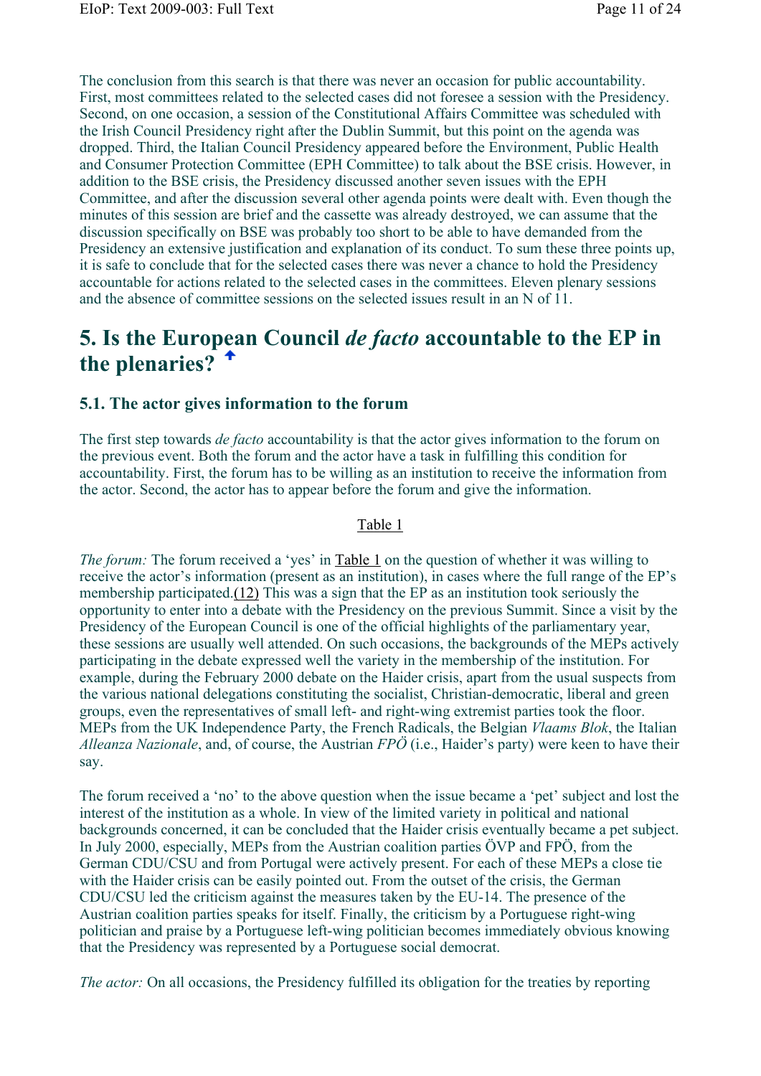The conclusion from this search is that there was never an occasion for public accountability. First, most committees related to the selected cases did not foresee a session with the Presidency. Second, on one occasion, a session of the Constitutional Affairs Committee was scheduled with the Irish Council Presidency right after the Dublin Summit, but this point on the agenda was dropped. Third, the Italian Council Presidency appeared before the Environment, Public Health and Consumer Protection Committee (EPH Committee) to talk about the BSE crisis. However, in addition to the BSE crisis, the Presidency discussed another seven issues with the EPH Committee, and after the discussion several other agenda points were dealt with. Even though the minutes of this session are brief and the cassette was already destroyed, we can assume that the discussion specifically on BSE was probably too short to be able to have demanded from the Presidency an extensive justification and explanation of its conduct. To sum these three points up, it is safe to conclude that for the selected cases there was never a chance to hold the Presidency accountable for actions related to the selected cases in the committees. Eleven plenary sessions and the absence of committee sessions on the selected issues result in an N of 11.

## **5. Is the European Council** *de facto* **accountable to the EP in the plenaries?**

### **5.1. The actor gives information to the forum**

The first step towards *de facto* accountability is that the actor gives information to the forum on the previous event. Both the forum and the actor have a task in fulfilling this condition for accountability. First, the forum has to be willing as an institution to receive the information from the actor. Second, the actor has to appear before the forum and give the information.

#### Table 1

*The forum:* The forum received a 'yes' in Table 1 on the question of whether it was willing to receive the actor's information (present as an institution), in cases where the full range of the EP's membership participated.(12) This was a sign that the EP as an institution took seriously the opportunity to enter into a debate with the Presidency on the previous Summit. Since a visit by the Presidency of the European Council is one of the official highlights of the parliamentary year, these sessions are usually well attended. On such occasions, the backgrounds of the MEPs actively participating in the debate expressed well the variety in the membership of the institution. For example, during the February 2000 debate on the Haider crisis, apart from the usual suspects from the various national delegations constituting the socialist, Christian-democratic, liberal and green groups, even the representatives of small left- and right-wing extremist parties took the floor. MEPs from the UK Independence Party, the French Radicals, the Belgian *Vlaams Blok*, the Italian *Alleanza Nazionale*, and, of course, the Austrian *FPÖ* (i.e., Haider's party) were keen to have their say.

The forum received a 'no' to the above question when the issue became a 'pet' subject and lost the interest of the institution as a whole. In view of the limited variety in political and national backgrounds concerned, it can be concluded that the Haider crisis eventually became a pet subject. In July 2000, especially, MEPs from the Austrian coalition parties ÖVP and FPÖ, from the German CDU/CSU and from Portugal were actively present. For each of these MEPs a close tie with the Haider crisis can be easily pointed out. From the outset of the crisis, the German CDU/CSU led the criticism against the measures taken by the EU-14. The presence of the Austrian coalition parties speaks for itself. Finally, the criticism by a Portuguese right-wing politician and praise by a Portuguese left-wing politician becomes immediately obvious knowing that the Presidency was represented by a Portuguese social democrat.

*The actor:* On all occasions, the Presidency fulfilled its obligation for the treaties by reporting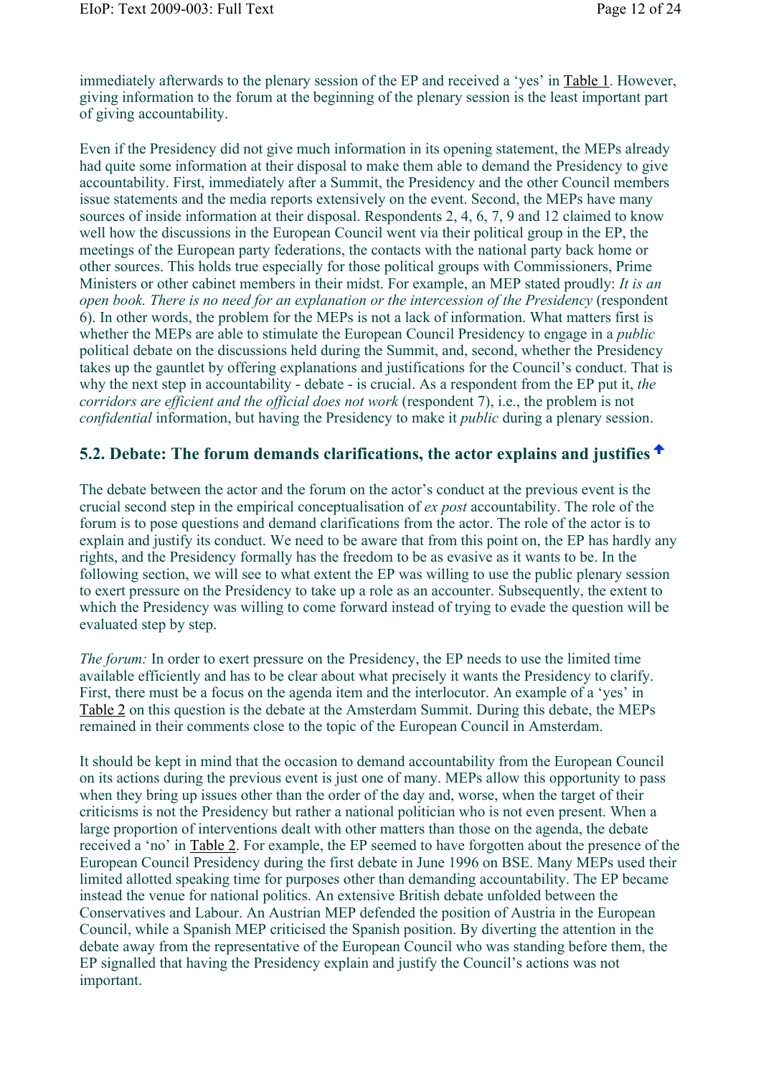immediately afterwards to the plenary session of the EP and received a 'yes' in Table 1. However, giving information to the forum at the beginning of the plenary session is the least important part of giving accountability.

Even if the Presidency did not give much information in its opening statement, the MEPs already had quite some information at their disposal to make them able to demand the Presidency to give accountability. First, immediately after a Summit, the Presidency and the other Council members issue statements and the media reports extensively on the event. Second, the MEPs have many sources of inside information at their disposal. Respondents 2, 4, 6, 7, 9 and 12 claimed to know well how the discussions in the European Council went via their political group in the EP, the meetings of the European party federations, the contacts with the national party back home or other sources. This holds true especially for those political groups with Commissioners, Prime Ministers or other cabinet members in their midst. For example, an MEP stated proudly: *It is an open book. There is no need for an explanation or the intercession of the Presidency (respondent* 6). In other words, the problem for the MEPs is not a lack of information. What matters first is whether the MEPs are able to stimulate the European Council Presidency to engage in a *public* political debate on the discussions held during the Summit, and, second, whether the Presidency takes up the gauntlet by offering explanations and justifications for the Council's conduct. That is why the next step in accountability - debate - is crucial. As a respondent from the EP put it, *the corridors are efficient and the official does not work* (respondent 7), i.e., the problem is not *confidential* information, but having the Presidency to make it *public* during a plenary session.

### **5.2. Debate: The forum demands clarifications, the actor explains and justifies**

The debate between the actor and the forum on the actor's conduct at the previous event is the crucial second step in the empirical conceptualisation of *ex post* accountability. The role of the forum is to pose questions and demand clarifications from the actor. The role of the actor is to explain and justify its conduct. We need to be aware that from this point on, the EP has hardly any rights, and the Presidency formally has the freedom to be as evasive as it wants to be. In the following section, we will see to what extent the EP was willing to use the public plenary session to exert pressure on the Presidency to take up a role as an accounter. Subsequently, the extent to which the Presidency was willing to come forward instead of trying to evade the question will be evaluated step by step.

*The forum:* In order to exert pressure on the Presidency, the EP needs to use the limited time available efficiently and has to be clear about what precisely it wants the Presidency to clarify. First, there must be a focus on the agenda item and the interlocutor. An example of a 'yes' in Table 2 on this question is the debate at the Amsterdam Summit. During this debate, the MEPs remained in their comments close to the topic of the European Council in Amsterdam.

It should be kept in mind that the occasion to demand accountability from the European Council on its actions during the previous event is just one of many. MEPs allow this opportunity to pass when they bring up issues other than the order of the day and, worse, when the target of their criticisms is not the Presidency but rather a national politician who is not even present. When a large proportion of interventions dealt with other matters than those on the agenda, the debate received a 'no' in Table 2. For example, the EP seemed to have forgotten about the presence of the European Council Presidency during the first debate in June 1996 on BSE. Many MEPs used their limited allotted speaking time for purposes other than demanding accountability. The EP became instead the venue for national politics. An extensive British debate unfolded between the Conservatives and Labour. An Austrian MEP defended the position of Austria in the European Council, while a Spanish MEP criticised the Spanish position. By diverting the attention in the debate away from the representative of the European Council who was standing before them, the EP signalled that having the Presidency explain and justify the Council's actions was not important.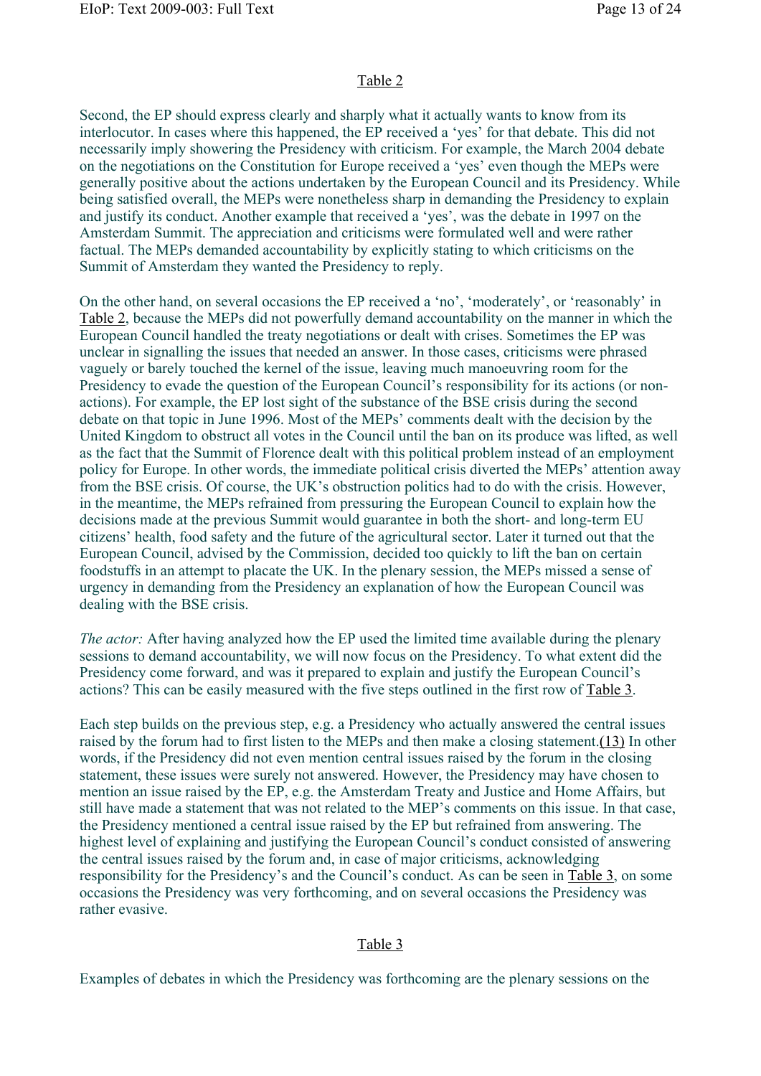Second, the EP should express clearly and sharply what it actually wants to know from its interlocutor. In cases where this happened, the EP received a 'yes' for that debate. This did not necessarily imply showering the Presidency with criticism. For example, the March 2004 debate on the negotiations on the Constitution for Europe received a 'yes' even though the MEPs were generally positive about the actions undertaken by the European Council and its Presidency. While being satisfied overall, the MEPs were nonetheless sharp in demanding the Presidency to explain and justify its conduct. Another example that received a 'yes', was the debate in 1997 on the Amsterdam Summit. The appreciation and criticisms were formulated well and were rather factual. The MEPs demanded accountability by explicitly stating to which criticisms on the Summit of Amsterdam they wanted the Presidency to reply.

On the other hand, on several occasions the EP received a 'no', 'moderately', or 'reasonably' in Table 2, because the MEPs did not powerfully demand accountability on the manner in which the European Council handled the treaty negotiations or dealt with crises. Sometimes the EP was unclear in signalling the issues that needed an answer. In those cases, criticisms were phrased vaguely or barely touched the kernel of the issue, leaving much manoeuvring room for the Presidency to evade the question of the European Council's responsibility for its actions (or nonactions). For example, the EP lost sight of the substance of the BSE crisis during the second debate on that topic in June 1996. Most of the MEPs' comments dealt with the decision by the United Kingdom to obstruct all votes in the Council until the ban on its produce was lifted, as well as the fact that the Summit of Florence dealt with this political problem instead of an employment policy for Europe. In other words, the immediate political crisis diverted the MEPs' attention away from the BSE crisis. Of course, the UK's obstruction politics had to do with the crisis. However, in the meantime, the MEPs refrained from pressuring the European Council to explain how the decisions made at the previous Summit would guarantee in both the short- and long-term EU citizens' health, food safety and the future of the agricultural sector. Later it turned out that the European Council, advised by the Commission, decided too quickly to lift the ban on certain foodstuffs in an attempt to placate the UK. In the plenary session, the MEPs missed a sense of urgency in demanding from the Presidency an explanation of how the European Council was dealing with the BSE crisis.

*The actor:* After having analyzed how the EP used the limited time available during the plenary sessions to demand accountability, we will now focus on the Presidency. To what extent did the Presidency come forward, and was it prepared to explain and justify the European Council's actions? This can be easily measured with the five steps outlined in the first row of Table 3.

Each step builds on the previous step, e.g. a Presidency who actually answered the central issues raised by the forum had to first listen to the MEPs and then make a closing statement.(13) In other words, if the Presidency did not even mention central issues raised by the forum in the closing statement, these issues were surely not answered. However, the Presidency may have chosen to mention an issue raised by the EP, e.g. the Amsterdam Treaty and Justice and Home Affairs, but still have made a statement that was not related to the MEP's comments on this issue. In that case, the Presidency mentioned a central issue raised by the EP but refrained from answering. The highest level of explaining and justifying the European Council's conduct consisted of answering the central issues raised by the forum and, in case of major criticisms, acknowledging responsibility for the Presidency's and the Council's conduct. As can be seen in Table 3, on some occasions the Presidency was very forthcoming, and on several occasions the Presidency was rather evasive.

### Table 3

Examples of debates in which the Presidency was forthcoming are the plenary sessions on the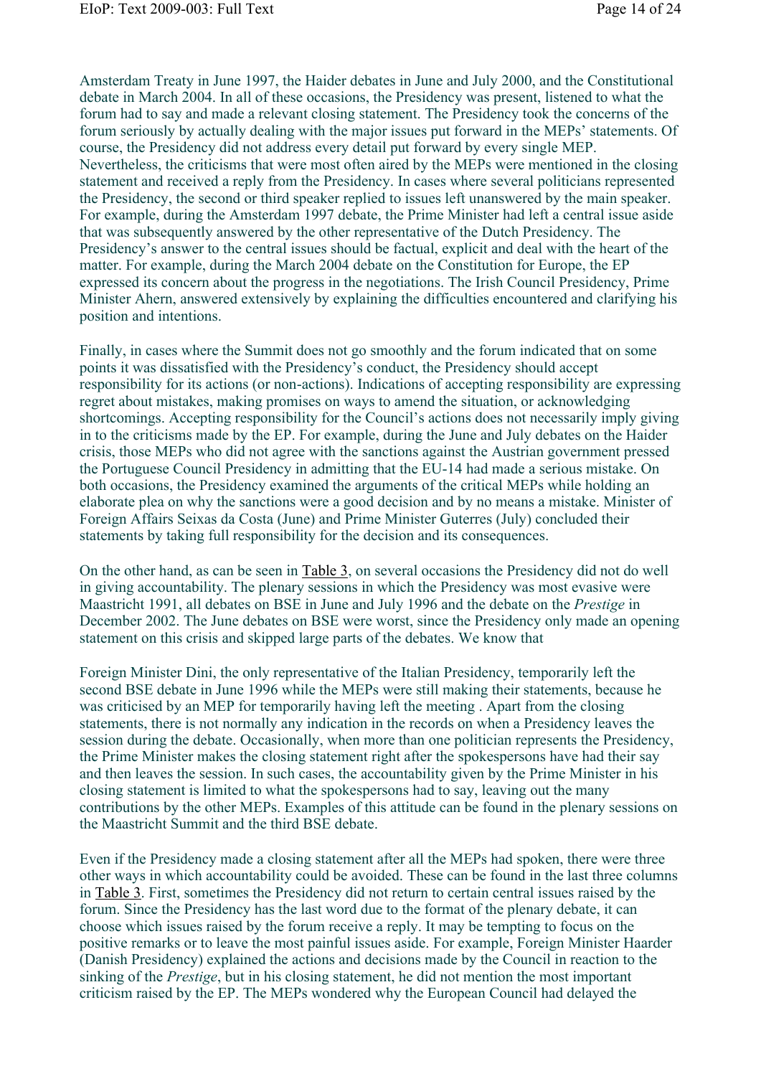Amsterdam Treaty in June 1997, the Haider debates in June and July 2000, and the Constitutional debate in March 2004. In all of these occasions, the Presidency was present, listened to what the forum had to say and made a relevant closing statement. The Presidency took the concerns of the forum seriously by actually dealing with the major issues put forward in the MEPs' statements. Of course, the Presidency did not address every detail put forward by every single MEP. Nevertheless, the criticisms that were most often aired by the MEPs were mentioned in the closing statement and received a reply from the Presidency. In cases where several politicians represented the Presidency, the second or third speaker replied to issues left unanswered by the main speaker. For example, during the Amsterdam 1997 debate, the Prime Minister had left a central issue aside that was subsequently answered by the other representative of the Dutch Presidency. The Presidency's answer to the central issues should be factual, explicit and deal with the heart of the matter. For example, during the March 2004 debate on the Constitution for Europe, the EP expressed its concern about the progress in the negotiations. The Irish Council Presidency, Prime Minister Ahern, answered extensively by explaining the difficulties encountered and clarifying his position and intentions.

Finally, in cases where the Summit does not go smoothly and the forum indicated that on some points it was dissatisfied with the Presidency's conduct, the Presidency should accept responsibility for its actions (or non-actions). Indications of accepting responsibility are expressing regret about mistakes, making promises on ways to amend the situation, or acknowledging shortcomings. Accepting responsibility for the Council's actions does not necessarily imply giving in to the criticisms made by the EP. For example, during the June and July debates on the Haider crisis, those MEPs who did not agree with the sanctions against the Austrian government pressed the Portuguese Council Presidency in admitting that the EU-14 had made a serious mistake. On both occasions, the Presidency examined the arguments of the critical MEPs while holding an elaborate plea on why the sanctions were a good decision and by no means a mistake. Minister of Foreign Affairs Seixas da Costa (June) and Prime Minister Guterres (July) concluded their statements by taking full responsibility for the decision and its consequences.

On the other hand, as can be seen in Table 3, on several occasions the Presidency did not do well in giving accountability. The plenary sessions in which the Presidency was most evasive were Maastricht 1991, all debates on BSE in June and July 1996 and the debate on the *Prestige* in December 2002. The June debates on BSE were worst, since the Presidency only made an opening statement on this crisis and skipped large parts of the debates. We know that

Foreign Minister Dini, the only representative of the Italian Presidency, temporarily left the second BSE debate in June 1996 while the MEPs were still making their statements, because he was criticised by an MEP for temporarily having left the meeting . Apart from the closing statements, there is not normally any indication in the records on when a Presidency leaves the session during the debate. Occasionally, when more than one politician represents the Presidency, the Prime Minister makes the closing statement right after the spokespersons have had their say and then leaves the session. In such cases, the accountability given by the Prime Minister in his closing statement is limited to what the spokespersons had to say, leaving out the many contributions by the other MEPs. Examples of this attitude can be found in the plenary sessions on the Maastricht Summit and the third BSE debate.

Even if the Presidency made a closing statement after all the MEPs had spoken, there were three other ways in which accountability could be avoided. These can be found in the last three columns in Table 3. First, sometimes the Presidency did not return to certain central issues raised by the forum. Since the Presidency has the last word due to the format of the plenary debate, it can choose which issues raised by the forum receive a reply. It may be tempting to focus on the positive remarks or to leave the most painful issues aside. For example, Foreign Minister Haarder (Danish Presidency) explained the actions and decisions made by the Council in reaction to the sinking of the *Prestige*, but in his closing statement, he did not mention the most important criticism raised by the EP. The MEPs wondered why the European Council had delayed the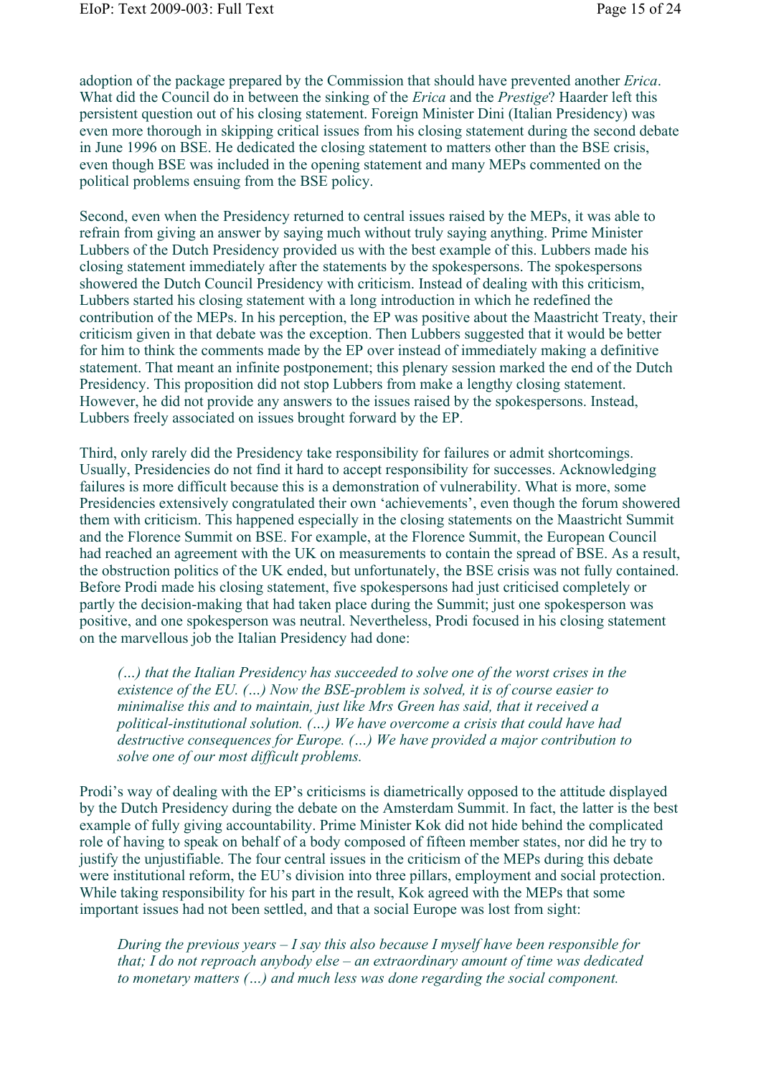adoption of the package prepared by the Commission that should have prevented another *Erica*. What did the Council do in between the sinking of the *Erica* and the *Prestige*? Haarder left this persistent question out of his closing statement. Foreign Minister Dini (Italian Presidency) was even more thorough in skipping critical issues from his closing statement during the second debate in June 1996 on BSE. He dedicated the closing statement to matters other than the BSE crisis, even though BSE was included in the opening statement and many MEPs commented on the political problems ensuing from the BSE policy.

Second, even when the Presidency returned to central issues raised by the MEPs, it was able to refrain from giving an answer by saying much without truly saying anything. Prime Minister Lubbers of the Dutch Presidency provided us with the best example of this. Lubbers made his closing statement immediately after the statements by the spokespersons. The spokespersons showered the Dutch Council Presidency with criticism. Instead of dealing with this criticism, Lubbers started his closing statement with a long introduction in which he redefined the contribution of the MEPs. In his perception, the EP was positive about the Maastricht Treaty, their criticism given in that debate was the exception. Then Lubbers suggested that it would be better for him to think the comments made by the EP over instead of immediately making a definitive statement. That meant an infinite postponement; this plenary session marked the end of the Dutch Presidency. This proposition did not stop Lubbers from make a lengthy closing statement. However, he did not provide any answers to the issues raised by the spokespersons. Instead, Lubbers freely associated on issues brought forward by the EP.

Third, only rarely did the Presidency take responsibility for failures or admit shortcomings. Usually, Presidencies do not find it hard to accept responsibility for successes. Acknowledging failures is more difficult because this is a demonstration of vulnerability. What is more, some Presidencies extensively congratulated their own 'achievements', even though the forum showered them with criticism. This happened especially in the closing statements on the Maastricht Summit and the Florence Summit on BSE. For example, at the Florence Summit, the European Council had reached an agreement with the UK on measurements to contain the spread of BSE. As a result, the obstruction politics of the UK ended, but unfortunately, the BSE crisis was not fully contained. Before Prodi made his closing statement, five spokespersons had just criticised completely or partly the decision-making that had taken place during the Summit; just one spokesperson was positive, and one spokesperson was neutral. Nevertheless, Prodi focused in his closing statement on the marvellous job the Italian Presidency had done:

*(…) that the Italian Presidency has succeeded to solve one of the worst crises in the existence of the EU. (…) Now the BSE-problem is solved, it is of course easier to minimalise this and to maintain, just like Mrs Green has said, that it received a political-institutional solution. (…) We have overcome a crisis that could have had destructive consequences for Europe. (…) We have provided a major contribution to solve one of our most difficult problems.* 

Prodi's way of dealing with the EP's criticisms is diametrically opposed to the attitude displayed by the Dutch Presidency during the debate on the Amsterdam Summit. In fact, the latter is the best example of fully giving accountability. Prime Minister Kok did not hide behind the complicated role of having to speak on behalf of a body composed of fifteen member states, nor did he try to justify the unjustifiable. The four central issues in the criticism of the MEPs during this debate were institutional reform, the EU's division into three pillars, employment and social protection. While taking responsibility for his part in the result, Kok agreed with the MEPs that some important issues had not been settled, and that a social Europe was lost from sight:

*During the previous years – I say this also because I myself have been responsible for that; I do not reproach anybody else – an extraordinary amount of time was dedicated to monetary matters (…) and much less was done regarding the social component.*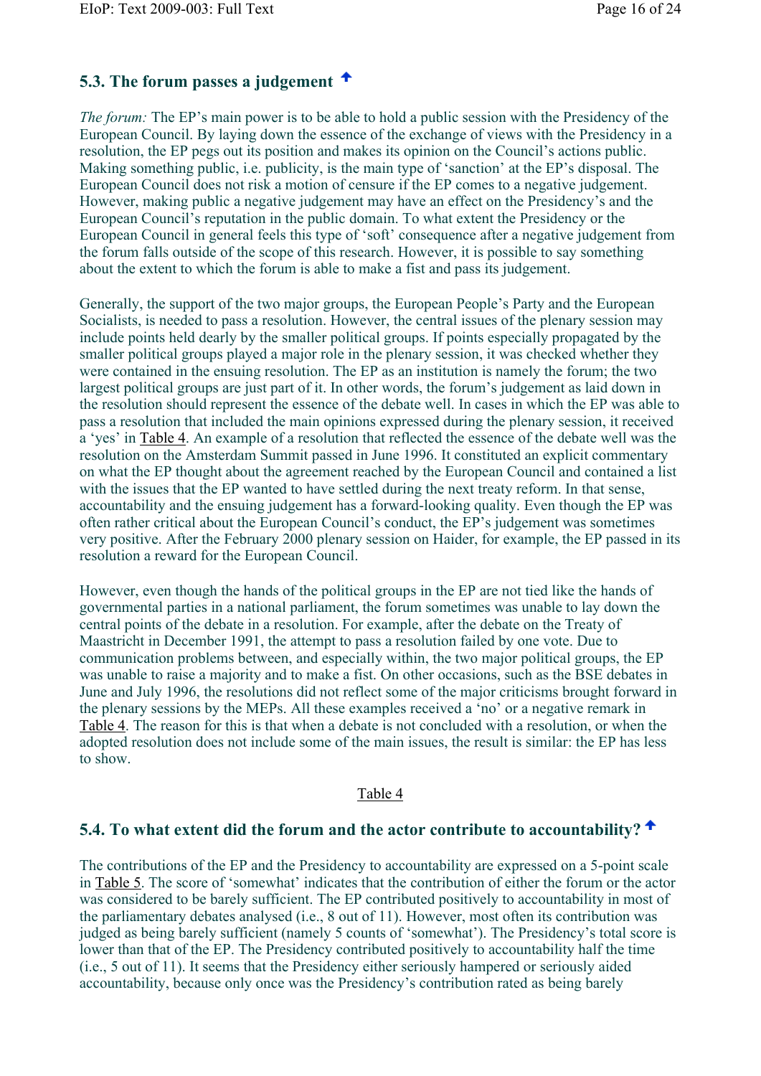### **5.3. The forum passes a judgement**

*The forum:* The EP's main power is to be able to hold a public session with the Presidency of the European Council. By laying down the essence of the exchange of views with the Presidency in a resolution, the EP pegs out its position and makes its opinion on the Council's actions public. Making something public, i.e. publicity, is the main type of 'sanction' at the EP's disposal. The European Council does not risk a motion of censure if the EP comes to a negative judgement. However, making public a negative judgement may have an effect on the Presidency's and the European Council's reputation in the public domain. To what extent the Presidency or the European Council in general feels this type of 'soft' consequence after a negative judgement from the forum falls outside of the scope of this research. However, it is possible to say something about the extent to which the forum is able to make a fist and pass its judgement.

Generally, the support of the two major groups, the European People's Party and the European Socialists, is needed to pass a resolution. However, the central issues of the plenary session may include points held dearly by the smaller political groups. If points especially propagated by the smaller political groups played a major role in the plenary session, it was checked whether they were contained in the ensuing resolution. The EP as an institution is namely the forum; the two largest political groups are just part of it. In other words, the forum's judgement as laid down in the resolution should represent the essence of the debate well. In cases in which the EP was able to pass a resolution that included the main opinions expressed during the plenary session, it received a 'yes' in Table 4. An example of a resolution that reflected the essence of the debate well was the resolution on the Amsterdam Summit passed in June 1996. It constituted an explicit commentary on what the EP thought about the agreement reached by the European Council and contained a list with the issues that the EP wanted to have settled during the next treaty reform. In that sense, accountability and the ensuing judgement has a forward-looking quality. Even though the EP was often rather critical about the European Council's conduct, the EP's judgement was sometimes very positive. After the February 2000 plenary session on Haider, for example, the EP passed in its resolution a reward for the European Council.

However, even though the hands of the political groups in the EP are not tied like the hands of governmental parties in a national parliament, the forum sometimes was unable to lay down the central points of the debate in a resolution. For example, after the debate on the Treaty of Maastricht in December 1991, the attempt to pass a resolution failed by one vote. Due to communication problems between, and especially within, the two major political groups, the EP was unable to raise a majority and to make a fist. On other occasions, such as the BSE debates in June and July 1996, the resolutions did not reflect some of the major criticisms brought forward in the plenary sessions by the MEPs. All these examples received a 'no' or a negative remark in Table 4. The reason for this is that when a debate is not concluded with a resolution, or when the adopted resolution does not include some of the main issues, the result is similar: the EP has less to show.

### Table 4

### **5.4. To what extent did the forum and the actor contribute to accountability?**

The contributions of the EP and the Presidency to accountability are expressed on a 5-point scale in Table 5. The score of 'somewhat' indicates that the contribution of either the forum or the actor was considered to be barely sufficient. The EP contributed positively to accountability in most of the parliamentary debates analysed (i.e., 8 out of 11). However, most often its contribution was judged as being barely sufficient (namely 5 counts of 'somewhat'). The Presidency's total score is lower than that of the EP. The Presidency contributed positively to accountability half the time (i.e., 5 out of 11). It seems that the Presidency either seriously hampered or seriously aided accountability, because only once was the Presidency's contribution rated as being barely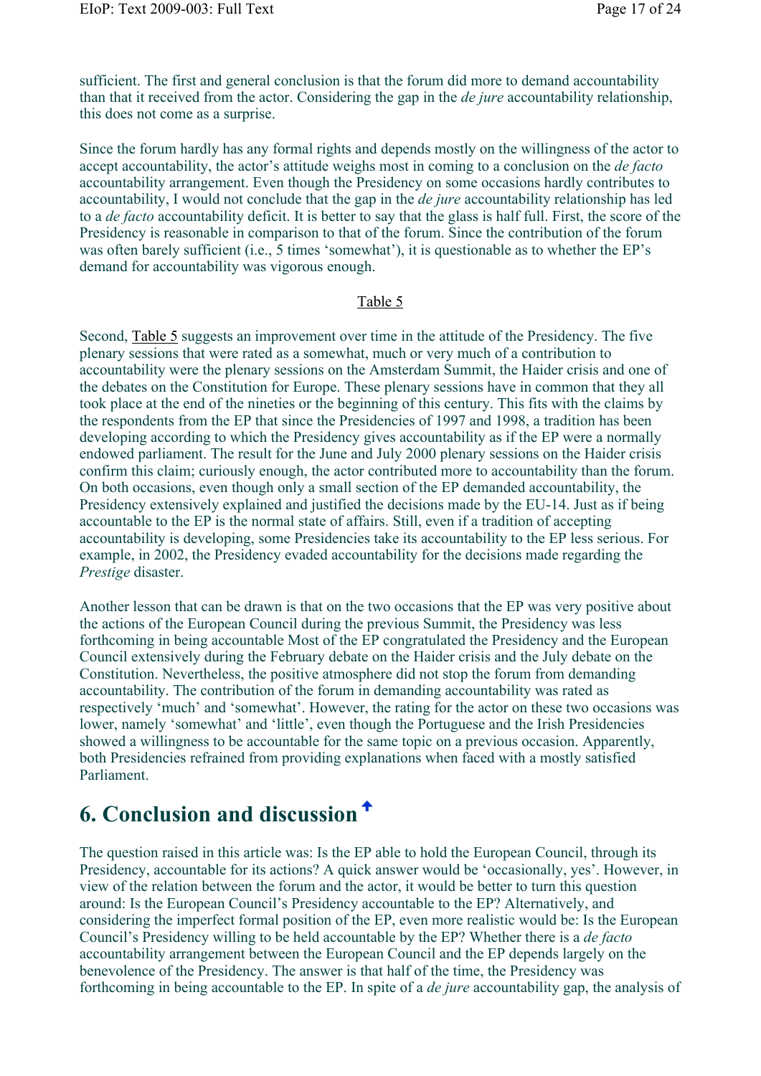sufficient. The first and general conclusion is that the forum did more to demand accountability than that it received from the actor. Considering the gap in the *de jure* accountability relationship, this does not come as a surprise.

Since the forum hardly has any formal rights and depends mostly on the willingness of the actor to accept accountability, the actor's attitude weighs most in coming to a conclusion on the *de facto* accountability arrangement. Even though the Presidency on some occasions hardly contributes to accountability, I would not conclude that the gap in the *de jure* accountability relationship has led to a *de facto* accountability deficit. It is better to say that the glass is half full. First, the score of the Presidency is reasonable in comparison to that of the forum. Since the contribution of the forum was often barely sufficient (i.e., 5 times 'somewhat'), it is questionable as to whether the EP's demand for accountability was vigorous enough.

#### Table 5

Second, Table 5 suggests an improvement over time in the attitude of the Presidency. The five plenary sessions that were rated as a somewhat, much or very much of a contribution to accountability were the plenary sessions on the Amsterdam Summit, the Haider crisis and one of the debates on the Constitution for Europe. These plenary sessions have in common that they all took place at the end of the nineties or the beginning of this century. This fits with the claims by the respondents from the EP that since the Presidencies of 1997 and 1998, a tradition has been developing according to which the Presidency gives accountability as if the EP were a normally endowed parliament. The result for the June and July 2000 plenary sessions on the Haider crisis confirm this claim; curiously enough, the actor contributed more to accountability than the forum. On both occasions, even though only a small section of the EP demanded accountability, the Presidency extensively explained and justified the decisions made by the EU-14. Just as if being accountable to the EP is the normal state of affairs. Still, even if a tradition of accepting accountability is developing, some Presidencies take its accountability to the EP less serious. For example, in 2002, the Presidency evaded accountability for the decisions made regarding the *Prestige* disaster.

Another lesson that can be drawn is that on the two occasions that the EP was very positive about the actions of the European Council during the previous Summit, the Presidency was less forthcoming in being accountable Most of the EP congratulated the Presidency and the European Council extensively during the February debate on the Haider crisis and the July debate on the Constitution. Nevertheless, the positive atmosphere did not stop the forum from demanding accountability. The contribution of the forum in demanding accountability was rated as respectively 'much' and 'somewhat'. However, the rating for the actor on these two occasions was lower, namely 'somewhat' and 'little', even though the Portuguese and the Irish Presidencies showed a willingness to be accountable for the same topic on a previous occasion. Apparently, both Presidencies refrained from providing explanations when faced with a mostly satisfied Parliament.

## **6. Conclusion and discussion**

The question raised in this article was: Is the EP able to hold the European Council, through its Presidency, accountable for its actions? A quick answer would be 'occasionally, yes'. However, in view of the relation between the forum and the actor, it would be better to turn this question around: Is the European Council's Presidency accountable to the EP? Alternatively, and considering the imperfect formal position of the EP, even more realistic would be: Is the European Council's Presidency willing to be held accountable by the EP? Whether there is a *de facto* accountability arrangement between the European Council and the EP depends largely on the benevolence of the Presidency. The answer is that half of the time, the Presidency was forthcoming in being accountable to the EP. In spite of a *de jure* accountability gap, the analysis of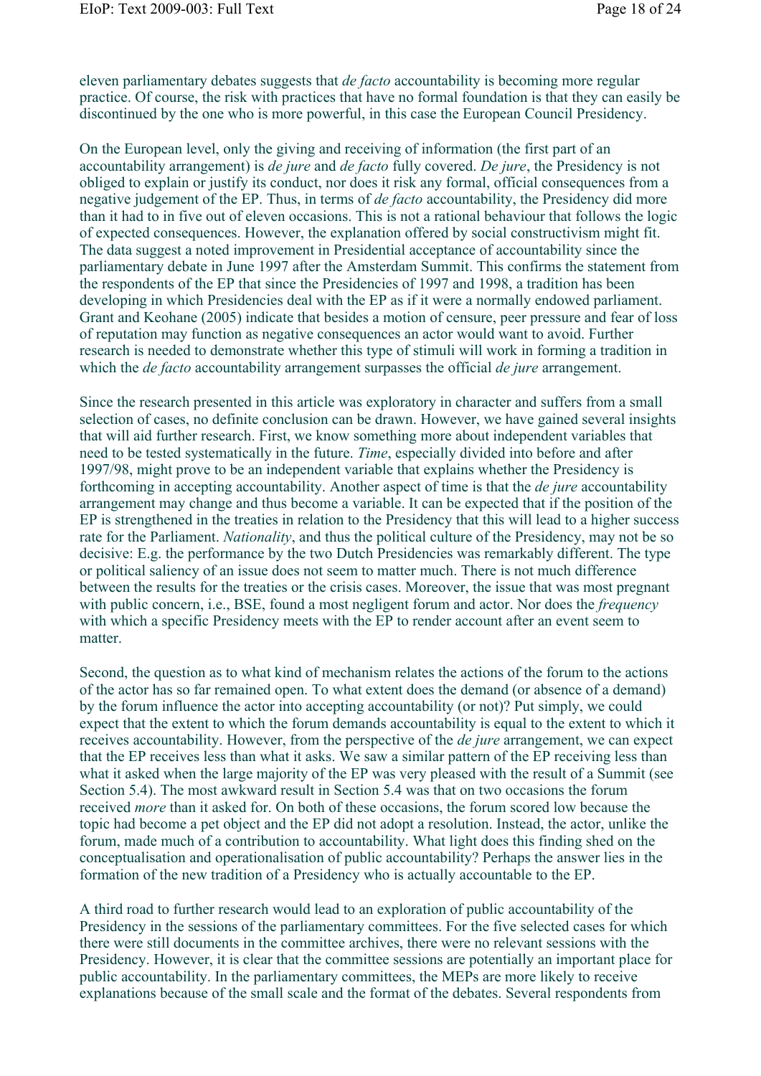eleven parliamentary debates suggests that *de facto* accountability is becoming more regular practice. Of course, the risk with practices that have no formal foundation is that they can easily be discontinued by the one who is more powerful, in this case the European Council Presidency.

On the European level, only the giving and receiving of information (the first part of an accountability arrangement) is *de jure* and *de facto* fully covered. *De jure*, the Presidency is not obliged to explain or justify its conduct, nor does it risk any formal, official consequences from a negative judgement of the EP. Thus, in terms of *de facto* accountability, the Presidency did more than it had to in five out of eleven occasions. This is not a rational behaviour that follows the logic of expected consequences. However, the explanation offered by social constructivism might fit. The data suggest a noted improvement in Presidential acceptance of accountability since the parliamentary debate in June 1997 after the Amsterdam Summit. This confirms the statement from the respondents of the EP that since the Presidencies of 1997 and 1998, a tradition has been developing in which Presidencies deal with the EP as if it were a normally endowed parliament. Grant and Keohane (2005) indicate that besides a motion of censure, peer pressure and fear of loss of reputation may function as negative consequences an actor would want to avoid. Further research is needed to demonstrate whether this type of stimuli will work in forming a tradition in which the *de facto* accountability arrangement surpasses the official *de jure* arrangement.

Since the research presented in this article was exploratory in character and suffers from a small selection of cases, no definite conclusion can be drawn. However, we have gained several insights that will aid further research. First, we know something more about independent variables that need to be tested systematically in the future. *Time*, especially divided into before and after 1997/98, might prove to be an independent variable that explains whether the Presidency is forthcoming in accepting accountability. Another aspect of time is that the *de jure* accountability arrangement may change and thus become a variable. It can be expected that if the position of the EP is strengthened in the treaties in relation to the Presidency that this will lead to a higher success rate for the Parliament. *Nationality*, and thus the political culture of the Presidency, may not be so decisive: E.g. the performance by the two Dutch Presidencies was remarkably different. The type or political saliency of an issue does not seem to matter much. There is not much difference between the results for the treaties or the crisis cases. Moreover, the issue that was most pregnant with public concern, i.e., BSE, found a most negligent forum and actor. Nor does the *frequency* with which a specific Presidency meets with the EP to render account after an event seem to matter.

Second, the question as to what kind of mechanism relates the actions of the forum to the actions of the actor has so far remained open. To what extent does the demand (or absence of a demand) by the forum influence the actor into accepting accountability (or not)? Put simply, we could expect that the extent to which the forum demands accountability is equal to the extent to which it receives accountability. However, from the perspective of the *de jure* arrangement, we can expect that the EP receives less than what it asks. We saw a similar pattern of the EP receiving less than what it asked when the large majority of the EP was very pleased with the result of a Summit (see Section 5.4). The most awkward result in Section 5.4 was that on two occasions the forum received *more* than it asked for. On both of these occasions, the forum scored low because the topic had become a pet object and the EP did not adopt a resolution. Instead, the actor, unlike the forum, made much of a contribution to accountability. What light does this finding shed on the conceptualisation and operationalisation of public accountability? Perhaps the answer lies in the formation of the new tradition of a Presidency who is actually accountable to the EP.

A third road to further research would lead to an exploration of public accountability of the Presidency in the sessions of the parliamentary committees. For the five selected cases for which there were still documents in the committee archives, there were no relevant sessions with the Presidency. However, it is clear that the committee sessions are potentially an important place for public accountability. In the parliamentary committees, the MEPs are more likely to receive explanations because of the small scale and the format of the debates. Several respondents from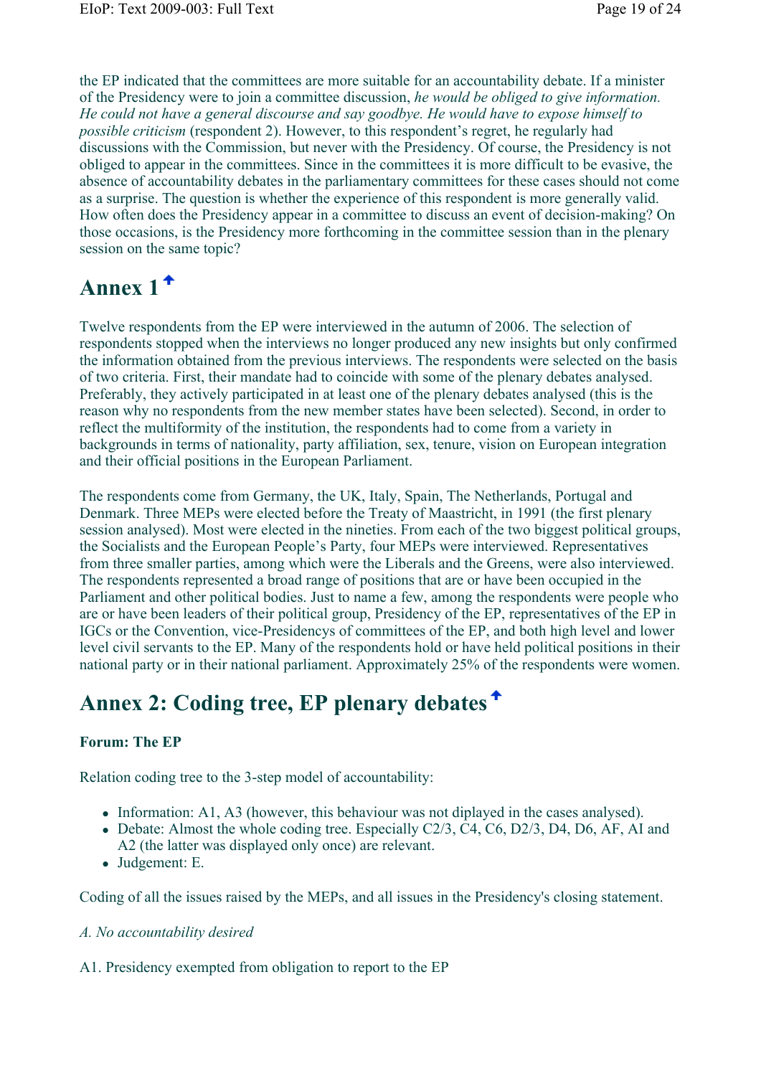the EP indicated that the committees are more suitable for an accountability debate. If a minister of the Presidency were to join a committee discussion, *he would be obliged to give information. He could not have a general discourse and say goodbye. He would have to expose himself to possible criticism* (respondent 2). However, to this respondent's regret, he regularly had discussions with the Commission, but never with the Presidency. Of course, the Presidency is not obliged to appear in the committees. Since in the committees it is more difficult to be evasive, the absence of accountability debates in the parliamentary committees for these cases should not come as a surprise. The question is whether the experience of this respondent is more generally valid. How often does the Presidency appear in a committee to discuss an event of decision-making? On those occasions, is the Presidency more forthcoming in the committee session than in the plenary session on the same topic?

# **Annex 1**

Twelve respondents from the EP were interviewed in the autumn of 2006. The selection of respondents stopped when the interviews no longer produced any new insights but only confirmed the information obtained from the previous interviews. The respondents were selected on the basis of two criteria. First, their mandate had to coincide with some of the plenary debates analysed. Preferably, they actively participated in at least one of the plenary debates analysed (this is the reason why no respondents from the new member states have been selected). Second, in order to reflect the multiformity of the institution, the respondents had to come from a variety in backgrounds in terms of nationality, party affiliation, sex, tenure, vision on European integration and their official positions in the European Parliament.

The respondents come from Germany, the UK, Italy, Spain, The Netherlands, Portugal and Denmark. Three MEPs were elected before the Treaty of Maastricht, in 1991 (the first plenary session analysed). Most were elected in the nineties. From each of the two biggest political groups, the Socialists and the European People's Party, four MEPs were interviewed. Representatives from three smaller parties, among which were the Liberals and the Greens, were also interviewed. The respondents represented a broad range of positions that are or have been occupied in the Parliament and other political bodies. Just to name a few, among the respondents were people who are or have been leaders of their political group, Presidency of the EP, representatives of the EP in IGCs or the Convention, vice-Presidencys of committees of the EP, and both high level and lower level civil servants to the EP. Many of the respondents hold or have held political positions in their national party or in their national parliament. Approximately 25% of the respondents were women.

# **Annex 2: Coding tree, EP plenary debates**

### **Forum: The EP**

Relation coding tree to the 3-step model of accountability:

- Information: A1, A3 (however, this behaviour was not diplayed in the cases analysed).
- Debate: Almost the whole coding tree. Especially C2/3, C4, C6, D2/3, D4, D6, AF, AI and A2 (the latter was displayed only once) are relevant.
- Judgement: E.

Coding of all the issues raised by the MEPs, and all issues in the Presidency's closing statement.

### *A. No accountability desired*

A1. Presidency exempted from obligation to report to the EP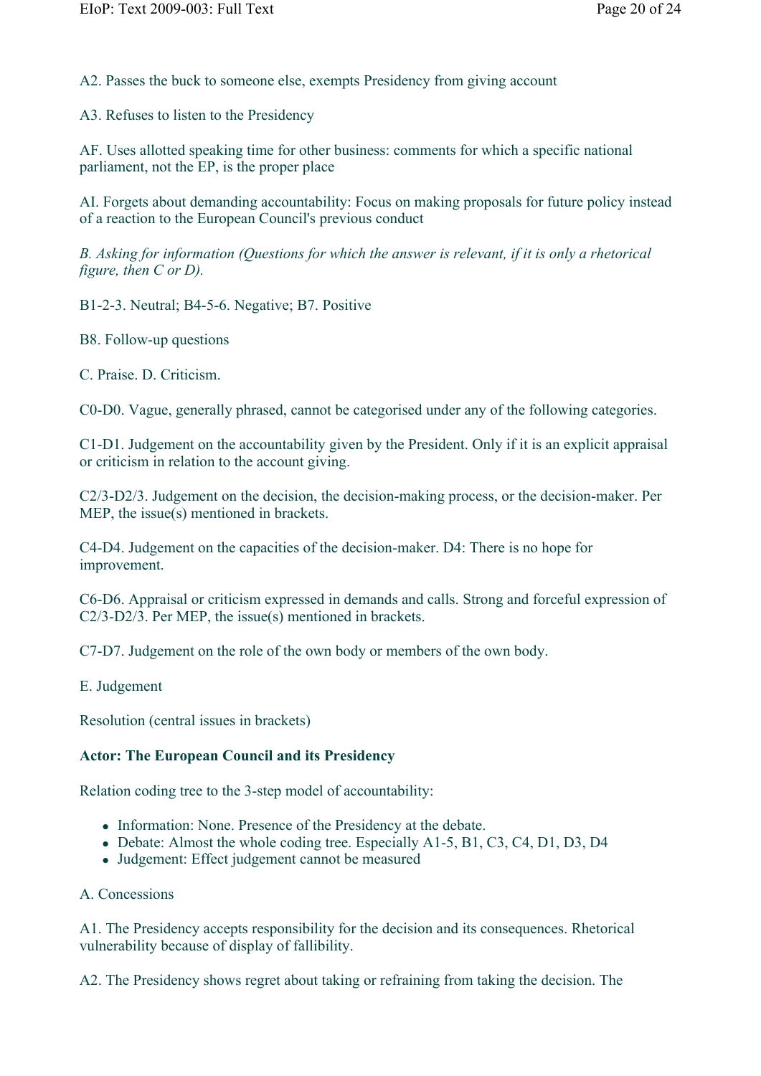A2. Passes the buck to someone else, exempts Presidency from giving account

A3. Refuses to listen to the Presidency

AF. Uses allotted speaking time for other business: comments for which a specific national parliament, not the EP, is the proper place

AI. Forgets about demanding accountability: Focus on making proposals for future policy instead of a reaction to the European Council's previous conduct

*B. Asking for information (Questions for which the answer is relevant, if it is only a rhetorical figure, then C or D).*

B1-2-3. Neutral; B4-5-6. Negative; B7. Positive

B8. Follow-up questions

C. Praise. D. Criticism.

C0-D0. Vague, generally phrased, cannot be categorised under any of the following categories.

C1-D1. Judgement on the accountability given by the President. Only if it is an explicit appraisal or criticism in relation to the account giving.

C2/3-D2/3. Judgement on the decision, the decision-making process, or the decision-maker. Per MEP, the issue(s) mentioned in brackets.

C4-D4. Judgement on the capacities of the decision-maker. D4: There is no hope for improvement.

C6-D6. Appraisal or criticism expressed in demands and calls. Strong and forceful expression of C2/3-D2/3. Per MEP, the issue(s) mentioned in brackets.

C7-D7. Judgement on the role of the own body or members of the own body.

E. Judgement

Resolution (central issues in brackets)

#### **Actor: The European Council and its Presidency**

Relation coding tree to the 3-step model of accountability:

- Information: None. Presence of the Presidency at the debate.
- Debate: Almost the whole coding tree. Especially A1-5, B1, C3, C4, D1, D3, D4
- Judgement: Effect judgement cannot be measured
- A. Concessions

A1. The Presidency accepts responsibility for the decision and its consequences. Rhetorical vulnerability because of display of fallibility.

A2. The Presidency shows regret about taking or refraining from taking the decision. The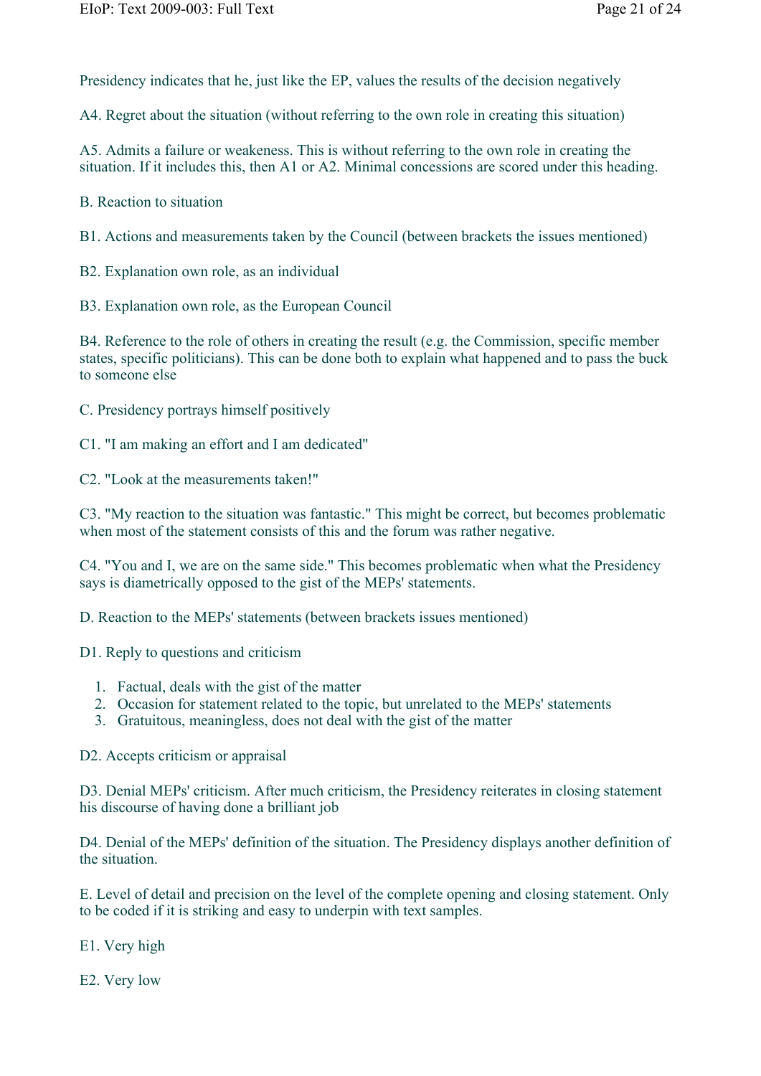Presidency indicates that he, just like the EP, values the results of the decision negatively

A4. Regret about the situation (without referring to the own role in creating this situation)

A5. Admits a failure or weakeness. This is without referring to the own role in creating the situation. If it includes this, then A1 or A2. Minimal concessions are scored under this heading.

B. Reaction to situation

B1. Actions and measurements taken by the Council (between brackets the issues mentioned)

B2. Explanation own role, as an individual

B3. Explanation own role, as the European Council

B4. Reference to the role of others in creating the result (e.g. the Commission, specific member states, specific politicians). This can be done both to explain what happened and to pass the buck to someone else

C. Presidency portrays himself positively

C1. "I am making an effort and I am dedicated"

C2. "Look at the measurements taken!"

C3. "My reaction to the situation was fantastic." This might be correct, but becomes problematic when most of the statement consists of this and the forum was rather negative.

C4. "You and I, we are on the same side." This becomes problematic when what the Presidency says is diametrically opposed to the gist of the MEPs' statements.

D. Reaction to the MEPs' statements (between brackets issues mentioned)

D1. Reply to questions and criticism

- 1. Factual, deals with the gist of the matter
- 2. Occasion for statement related to the topic, but unrelated to the MEPs' statements
- 3. Gratuitous, meaningless, does not deal with the gist of the matter

D2. Accepts criticism or appraisal

D3. Denial MEPs' criticism. After much criticism, the Presidency reiterates in closing statement his discourse of having done a brilliant job

D4. Denial of the MEPs' definition of the situation. The Presidency displays another definition of the situation.

E. Level of detail and precision on the level of the complete opening and closing statement. Only to be coded if it is striking and easy to underpin with text samples.

E1. Very high

E2. Very low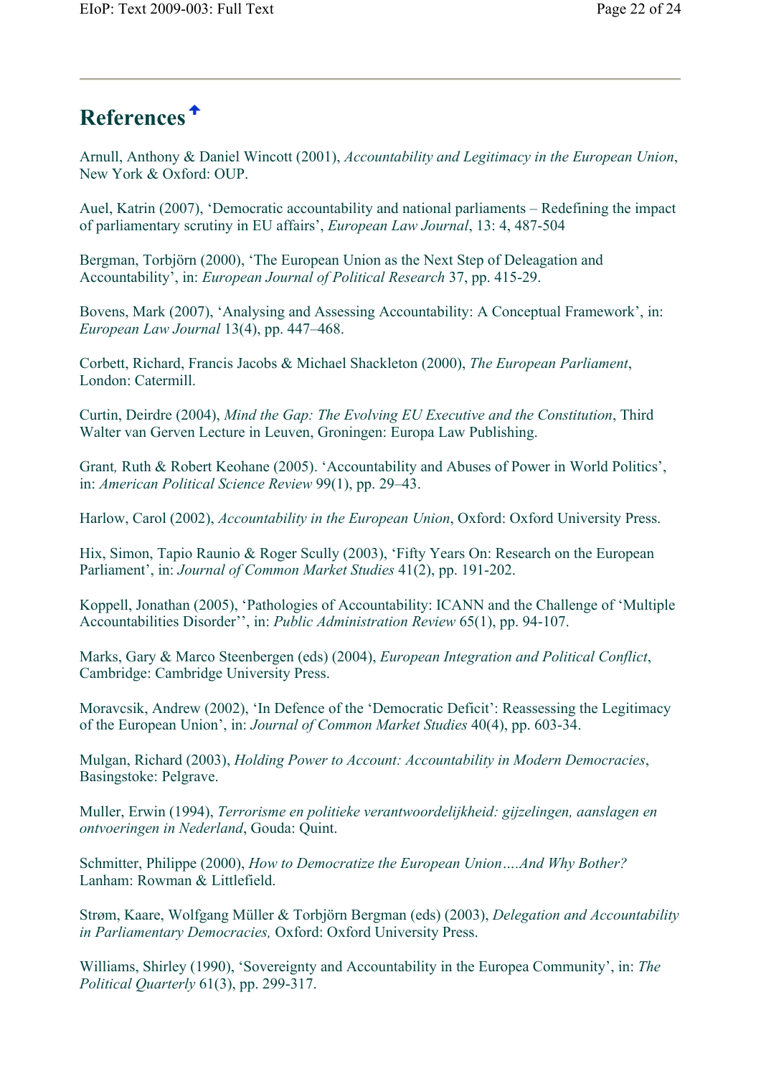# **References**

Arnull, Anthony & Daniel Wincott (2001), *Accountability and Legitimacy in the European Union*, New York & Oxford: OUP.

Auel, Katrin (2007), 'Democratic accountability and national parliaments – Redefining the impact of parliamentary scrutiny in EU affairs', *European Law Journal*, 13: 4, 487-504

Bergman, Torbjörn (2000), 'The European Union as the Next Step of Deleagation and Accountability', in: *European Journal of Political Research* 37, pp. 415-29.

Bovens, Mark (2007), 'Analysing and Assessing Accountability: A Conceptual Framework', in: *European Law Journal* 13(4), pp. 447–468.

Corbett, Richard, Francis Jacobs & Michael Shackleton (2000), *The European Parliament*, London: Catermill.

Curtin, Deirdre (2004), *Mind the Gap: The Evolving EU Executive and the Constitution*, Third Walter van Gerven Lecture in Leuven, Groningen: Europa Law Publishing.

Grant*,* Ruth & Robert Keohane (2005). 'Accountability and Abuses of Power in World Politics', in: *American Political Science Review* 99(1), pp. 29–43.

Harlow, Carol (2002), *Accountability in the European Union*, Oxford: Oxford University Press.

Hix, Simon, Tapio Raunio & Roger Scully (2003), 'Fifty Years On: Research on the European Parliament', in: *Journal of Common Market Studies* 41(2), pp. 191-202.

Koppell, Jonathan (2005), 'Pathologies of Accountability: ICANN and the Challenge of 'Multiple Accountabilities Disorder'', in: *Public Administration Review* 65(1), pp. 94-107.

Marks, Gary & Marco Steenbergen (eds) (2004), *European Integration and Political Conflict*, Cambridge: Cambridge University Press.

Moravcsik, Andrew (2002), 'In Defence of the 'Democratic Deficit': Reassessing the Legitimacy of the European Union', in: *Journal of Common Market Studies* 40(4), pp. 603-34.

Mulgan, Richard (2003), *Holding Power to Account: Accountability in Modern Democracies*, Basingstoke: Pelgrave.

Muller, Erwin (1994), *Terrorisme en politieke verantwoordelijkheid: gijzelingen, aanslagen en ontvoeringen in Nederland*, Gouda: Quint.

Schmitter, Philippe (2000), *How to Democratize the European Union….And Why Bother?* Lanham: Rowman & Littlefield.

Strøm, Kaare, Wolfgang Müller & Torbjörn Bergman (eds) (2003), *Delegation and Accountability in Parliamentary Democracies,* Oxford: Oxford University Press.

Williams, Shirley (1990), 'Sovereignty and Accountability in the Europea Community', in: *The Political Quarterly* 61(3), pp. 299-317.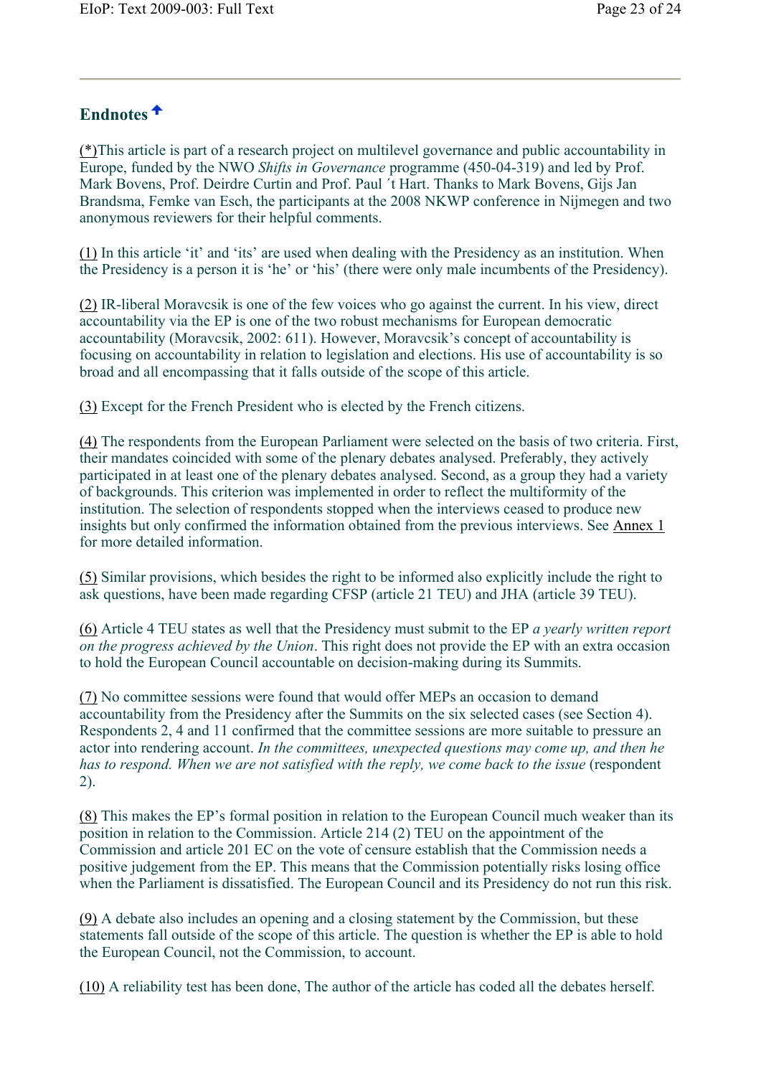## **Endnotes**

(\*)This article is part of a research project on multilevel governance and public accountability in Europe, funded by the NWO *Shifts in Governance* programme (450-04-319) and led by Prof. Mark Bovens, Prof. Deirdre Curtin and Prof. Paul ´t Hart. Thanks to Mark Bovens, Gijs Jan Brandsma, Femke van Esch, the participants at the 2008 NKWP conference in Nijmegen and two anonymous reviewers for their helpful comments.

(1) In this article 'it' and 'its' are used when dealing with the Presidency as an institution. When the Presidency is a person it is 'he' or 'his' (there were only male incumbents of the Presidency).

(2) IR-liberal Moravcsik is one of the few voices who go against the current. In his view, direct accountability via the EP is one of the two robust mechanisms for European democratic accountability (Moravcsik, 2002: 611). However, Moravcsik's concept of accountability is focusing on accountability in relation to legislation and elections. His use of accountability is so broad and all encompassing that it falls outside of the scope of this article.

(3) Except for the French President who is elected by the French citizens.

(4) The respondents from the European Parliament were selected on the basis of two criteria. First, their mandates coincided with some of the plenary debates analysed. Preferably, they actively participated in at least one of the plenary debates analysed. Second, as a group they had a variety of backgrounds. This criterion was implemented in order to reflect the multiformity of the institution. The selection of respondents stopped when the interviews ceased to produce new insights but only confirmed the information obtained from the previous interviews. See Annex 1 for more detailed information.

(5) Similar provisions, which besides the right to be informed also explicitly include the right to ask questions, have been made regarding CFSP (article 21 TEU) and JHA (article 39 TEU).

(6) Article 4 TEU states as well that the Presidency must submit to the EP *a yearly written report on the progress achieved by the Union*. This right does not provide the EP with an extra occasion to hold the European Council accountable on decision-making during its Summits.

(7) No committee sessions were found that would offer MEPs an occasion to demand accountability from the Presidency after the Summits on the six selected cases (see Section 4). Respondents 2, 4 and 11 confirmed that the committee sessions are more suitable to pressure an actor into rendering account. *In the committees, unexpected questions may come up, and then he has to respond. When we are not satisfied with the reply, we come back to the issue* (respondent 2).

(8) This makes the EP's formal position in relation to the European Council much weaker than its position in relation to the Commission. Article 214 (2) TEU on the appointment of the Commission and article 201 EC on the vote of censure establish that the Commission needs a positive judgement from the EP. This means that the Commission potentially risks losing office when the Parliament is dissatisfied. The European Council and its Presidency do not run this risk.

(9) A debate also includes an opening and a closing statement by the Commission, but these statements fall outside of the scope of this article. The question is whether the EP is able to hold the European Council, not the Commission, to account.

(10) A reliability test has been done, The author of the article has coded all the debates herself.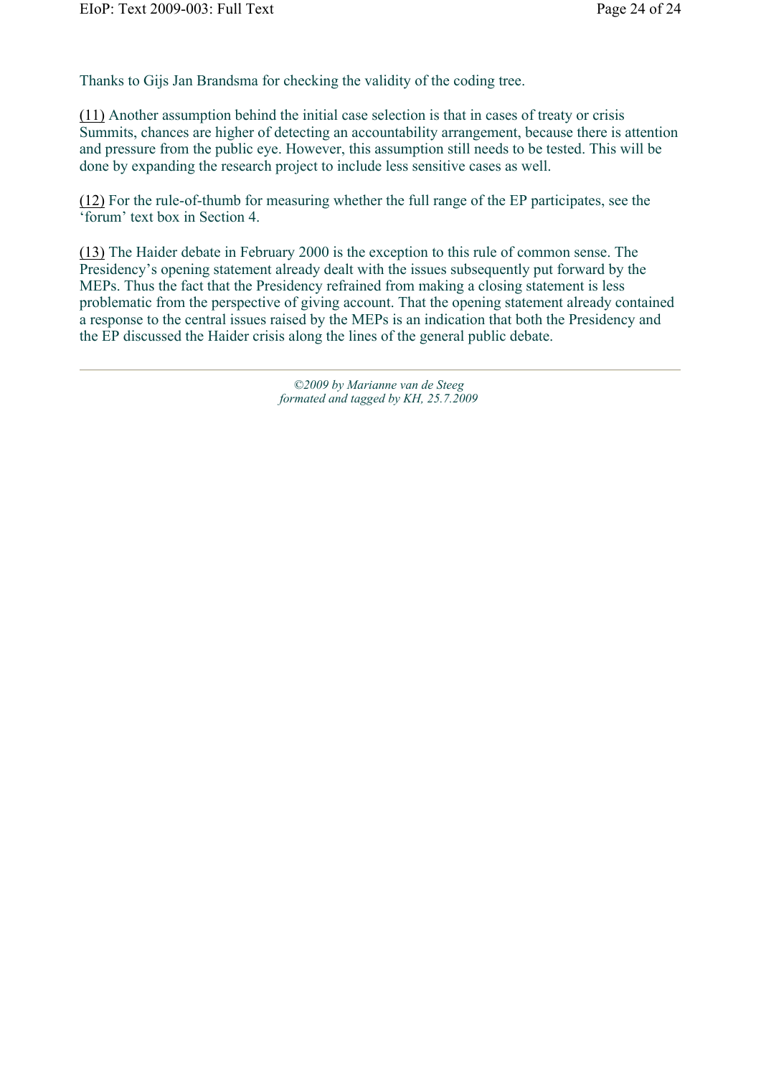Thanks to Gijs Jan Brandsma for checking the validity of the coding tree.

(11) Another assumption behind the initial case selection is that in cases of treaty or crisis Summits, chances are higher of detecting an accountability arrangement, because there is attention and pressure from the public eye. However, this assumption still needs to be tested. This will be done by expanding the research project to include less sensitive cases as well.

(12) For the rule-of-thumb for measuring whether the full range of the EP participates, see the 'forum' text box in Section 4.

(13) The Haider debate in February 2000 is the exception to this rule of common sense. The Presidency's opening statement already dealt with the issues subsequently put forward by the MEPs. Thus the fact that the Presidency refrained from making a closing statement is less problematic from the perspective of giving account. That the opening statement already contained a response to the central issues raised by the MEPs is an indication that both the Presidency and the EP discussed the Haider crisis along the lines of the general public debate.

> *©2009 by Marianne van de Steeg formated and tagged by KH, 25.7.2009*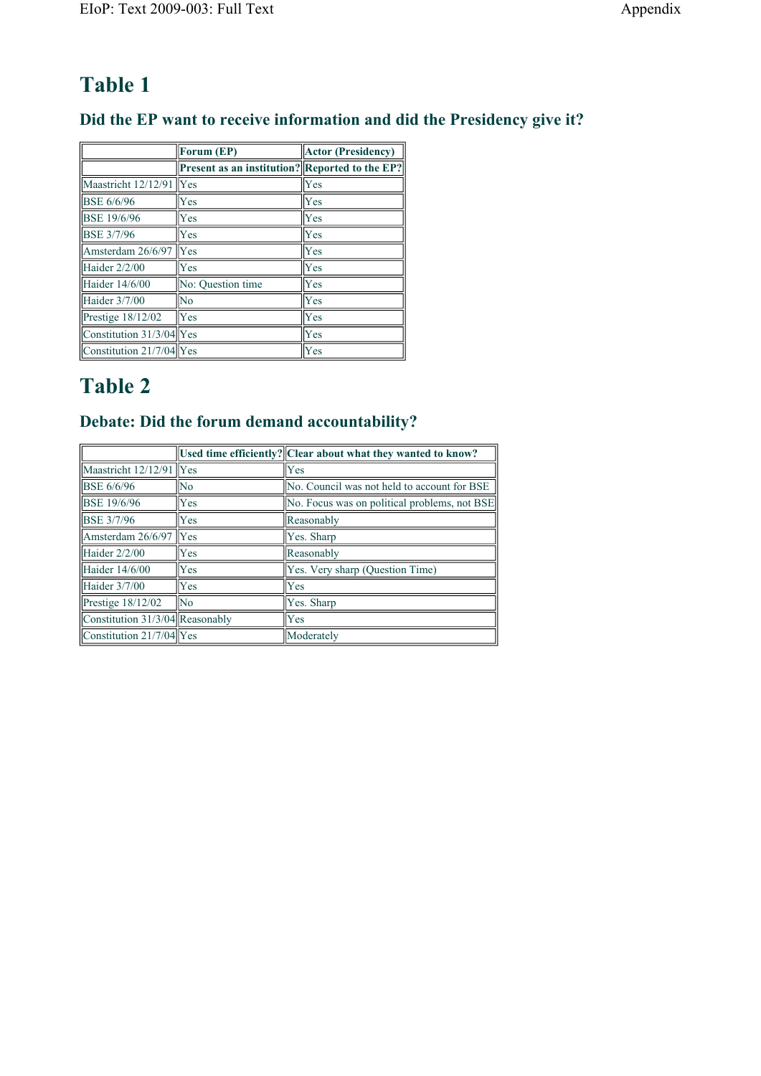## **Did the EP want to receive information and did the Presidency give it?**

|                          | Forum (EP)                                     | <b>Actor (Presidency)</b> |
|--------------------------|------------------------------------------------|---------------------------|
|                          | Present as an institution? Reported to the EP? |                           |
| Maastricht 12/12/91      | Yes                                            | Yes                       |
| <b>BSE 6/6/96</b>        | Yes                                            | Yes                       |
| <b>BSE 19/6/96</b>       | Yes                                            | Yes                       |
| <b>BSE 3/7/96</b>        | Yes                                            | Yes                       |
| Amsterdam 26/6/97        | Yes                                            | Yes                       |
| Haider 2/2/00            | Yes                                            | Yes                       |
| Haider 14/6/00           | No: Ouestion time                              | Yes                       |
| Haider 3/7/00            | No                                             | Yes                       |
| Prestige $18/12/02$      | Yes                                            | Yes                       |
| Constitution 31/3/04 Yes |                                                | Yes                       |
| Constitution 21/7/04 Yes |                                                | Yes                       |

# **Table 2**

## **Debate: Did the forum demand accountability?**

|                                   |            | Used time efficiently? Clear about what they wanted to know? |
|-----------------------------------|------------|--------------------------------------------------------------|
| Maastricht $12/12/91$ Yes         |            | Yes                                                          |
| <b>BSE 6/6/96</b>                 | No         | No. Council was not held to account for BSE                  |
| <b>BSE 19/6/96</b>                | <b>Yes</b> | No. Focus was on political problems, not BSE                 |
| <b>BSE 3/7/96</b>                 | Yes        | Reasonably                                                   |
| Amsterdam 26/6/97                 | Yes        | Yes. Sharp                                                   |
| Haider 2/2/00                     | Yes        | Reasonably                                                   |
| Haider 14/6/00                    | Yes        | Yes. Very sharp (Question Time)                              |
| Haider 3/7/00                     | <b>Yes</b> | Yes                                                          |
| Prestige 18/12/02                 | No         | Yes. Sharp                                                   |
| Constitution $31/3/04$ Reasonably |            | Yes                                                          |
| Constitution 21/7/04 Yes          |            | Moderately                                                   |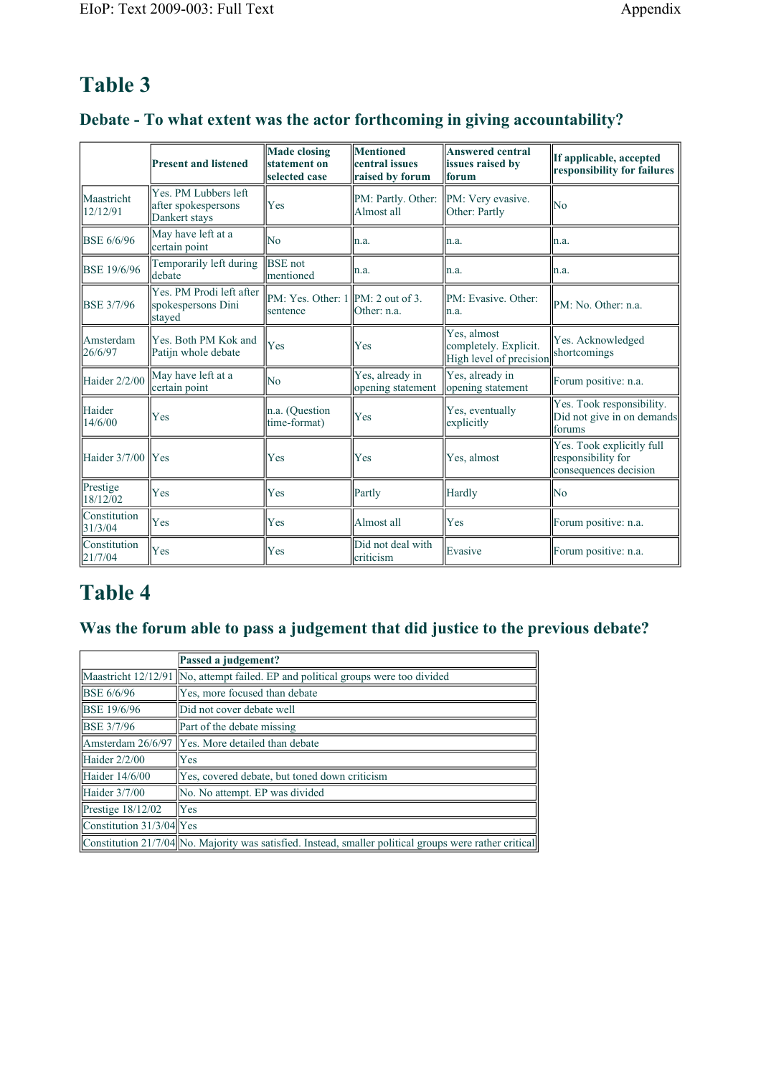## **Debate - To what extent was the actor forthcoming in giving accountability?**

|                                | <b>Present and listened</b>                                  | <b>Made closing</b><br>statement on<br>selected case | <b>Mentioned</b><br>central issues<br>raised by forum | <b>Answered central</b><br>issues raised by<br>forum            | If applicable, accepted<br>responsibility for failures                   |  |
|--------------------------------|--------------------------------------------------------------|------------------------------------------------------|-------------------------------------------------------|-----------------------------------------------------------------|--------------------------------------------------------------------------|--|
| Maastricht<br>12/12/91         | Yes. PM Lubbers left<br>after spokespersons<br>Dankert stays | Yes                                                  | PM: Partly. Other: PM: Very evasive.<br>Almost all    | Other: Partly                                                   | N <sub>0</sub>                                                           |  |
| <b>BSE 6/6/96</b>              | May have left at a<br>certain point                          | <b>No</b>                                            | ln.a.                                                 | n.a.                                                            | n.a.                                                                     |  |
| <b>BSE 19/6/96</b>             | Temporarily left during<br>debate                            | <b>BSE</b> not<br>Imentioned                         | n.a.                                                  | n.a.                                                            | n.a.                                                                     |  |
| <b>BSE 3/7/96</b>              | Yes. PM Prodi left after<br>spokespersons Dini<br>stayed     | $\ PM: Yes. Other: 1\ PM: 2 out of 3.$<br>sentence   | Other: n.a.                                           | PM: Evasive. Other:<br>n.a.                                     | PM: No. Other: n.a.                                                      |  |
| Amsterdam<br>26/6/97           | Yes. Both PM Kok and<br>Patijn whole debate                  | Yes                                                  | Yes                                                   | Yes, almost<br>completely. Explicit.<br>High level of precision | Yes. Acknowledged<br>shortcomings                                        |  |
| Haider 2/2/00                  | May have left at a<br>certain point                          | N <sub>0</sub>                                       | Yes, already in<br>opening statement                  | Yes, already in<br>opening statement                            | Forum positive: n.a.                                                     |  |
| Haider<br>14/6/00              | Yes                                                          | n.a. (Question<br>time-format)                       | Yes                                                   | Yes, eventually<br>explicitly                                   | Yes. Took responsibility.<br>Did not give in on demands<br>forums        |  |
| Haider 3/7/00                  | Yes                                                          | Yes                                                  | Yes                                                   | Yes, almost                                                     | Yes. Took explicitly full<br>responsibility for<br>consequences decision |  |
| Prestige<br>18/12/02           | Yes                                                          | Yes                                                  | Partly                                                | Hardly                                                          | No                                                                       |  |
| <b>Constitution</b><br>31/3/04 | Yes                                                          | Yes                                                  | Almost all                                            | Yes                                                             | Forum positive: n.a.                                                     |  |
| Constitution<br>21/7/04        | Yes                                                          | Yes                                                  | Did not deal with<br>criticism                        | Evasive                                                         | Forum positive: n.a.                                                     |  |

## **Table 4**

## **Was the forum able to pass a judgement that did justice to the previous debate?**

|                                          | Passed a judgement?                                                                                     |
|------------------------------------------|---------------------------------------------------------------------------------------------------------|
|                                          | Maastricht 12/12/91 No, attempt failed. EP and political groups were too divided                        |
| <b>BSE 6/6/96</b>                        | Yes, more focused than debate                                                                           |
| <b>BSE 19/6/96</b>                       | Did not cover debate well                                                                               |
| <b>BSE 3/7/96</b>                        | Part of the debate missing                                                                              |
|                                          | Amsterdam 26/6/97   Yes. More detailed than debate                                                      |
| Haider $2/2/00$                          | Yes                                                                                                     |
| Haider 14/6/00                           | Yes, covered debate, but toned down criticism                                                           |
| Haider $3/7/00$                          | No. No attempt. EP was divided                                                                          |
| $\text{Prestige}$ 18/12/02               | Yes                                                                                                     |
| $\vert$ Constitution 31/3/04 $\vert$ Yes |                                                                                                         |
|                                          | Constitution 21/7/04 No. Majority was satisfied. Instead, smaller political groups were rather critical |